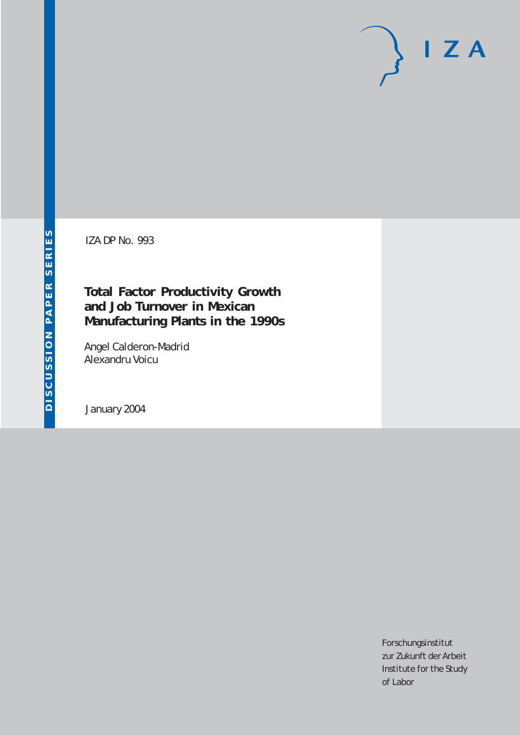# $I Z A$

IZA DP No. 993

### **Total Factor Productivity Growth and Job Turnover in Mexican Manufacturing Plants in the 1990s**

Angel Calderon-Madrid Alexandru Voicu

January 2004

Forschungsinstitut zur Zukunft der Arbeit Institute for the Study of Labor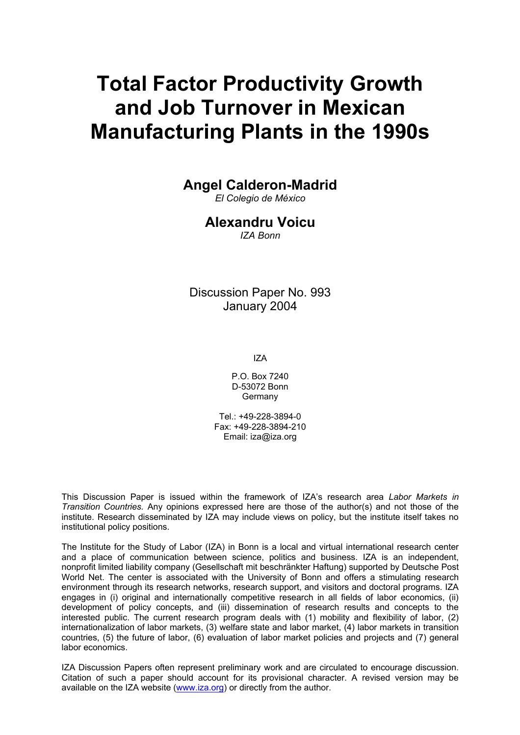# **Total Factor Productivity Growth and Job Turnover in Mexican Manufacturing Plants in the 1990s**

#### **Angel Calderon-Madrid**

*El Colegio de México* 

#### **Alexandru Voicu**

*IZA Bonn* 

Discussion Paper No. 993 January 2004

IZA

P.O. Box 7240 D-53072 Bonn Germany

Tel.: +49-228-3894-0 Fax: +49-228-3894-210 Email: [iza@iza.org](mailto:iza@iza.org)

This Discussion Paper is issued within the framework of IZA's research area *Labor Markets in Transition Countries.* Any opinions expressed here are those of the author(s) and not those of the institute. Research disseminated by IZA may include views on policy, but the institute itself takes no institutional policy positions.

The Institute for the Study of Labor (IZA) in Bonn is a local and virtual international research center and a place of communication between science, politics and business. IZA is an independent, nonprofit limited liability company (Gesellschaft mit beschränkter Haftung) supported by Deutsche Post World Net. The center is associated with the University of Bonn and offers a stimulating research environment through its research networks, research support, and visitors and doctoral programs. IZA engages in (i) original and internationally competitive research in all fields of labor economics, (ii) development of policy concepts, and (iii) dissemination of research results and concepts to the interested public. The current research program deals with (1) mobility and flexibility of labor, (2) internationalization of labor markets, (3) welfare state and labor market, (4) labor markets in transition countries, (5) the future of labor, (6) evaluation of labor market policies and projects and (7) general labor economics.

IZA Discussion Papers often represent preliminary work and are circulated to encourage discussion. Citation of such a paper should account for its provisional character. A revised version may be available on the IZA website ([www.iza.org](http://www.iza.org/)) or directly from the author.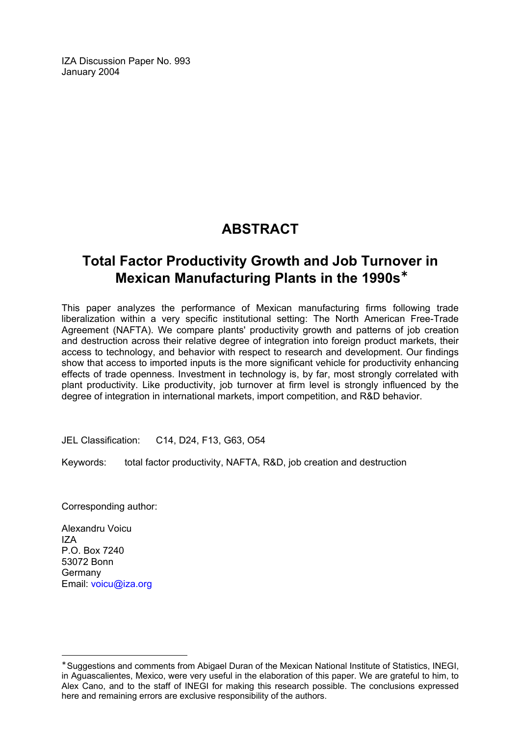IZA Discussion Paper No. 993 January 2004

## **ABSTRACT**

## **Total Factor Productivity Growth and Job Turnover in Mexican Manufacturing Plants in the 1990s**[∗](#page-2-0)

This paper analyzes the performance of Mexican manufacturing firms following trade liberalization within a very specific institutional setting: The North American Free-Trade Agreement (NAFTA). We compare plants' productivity growth and patterns of job creation and destruction across their relative degree of integration into foreign product markets, their access to technology, and behavior with respect to research and development. Our findings show that access to imported inputs is the more significant vehicle for productivity enhancing effects of trade openness. Investment in technology is, by far, most strongly correlated with plant productivity. Like productivity, job turnover at firm level is strongly influenced by the degree of integration in international markets, import competition, and R&D behavior.

JEL Classification: C14, D24, F13, G63, O54

Keywords: total factor productivity, NAFTA, R&D, job creation and destruction

Corresponding author:

Alexandru Voicu IZA P.O. Box 7240 53072 Bonn Germany Email: [voicu@iza.org](mailto:voicu@iza.org)

 $\overline{a}$ 

<span id="page-2-0"></span><sup>∗</sup> Suggestions and comments from Abigael Duran of the Mexican National Institute of Statistics, INEGI, in Aguascalientes, Mexico, were very useful in the elaboration of this paper. We are grateful to him, to Alex Cano, and to the staff of INEGI for making this research possible. The conclusions expressed here and remaining errors are exclusive responsibility of the authors.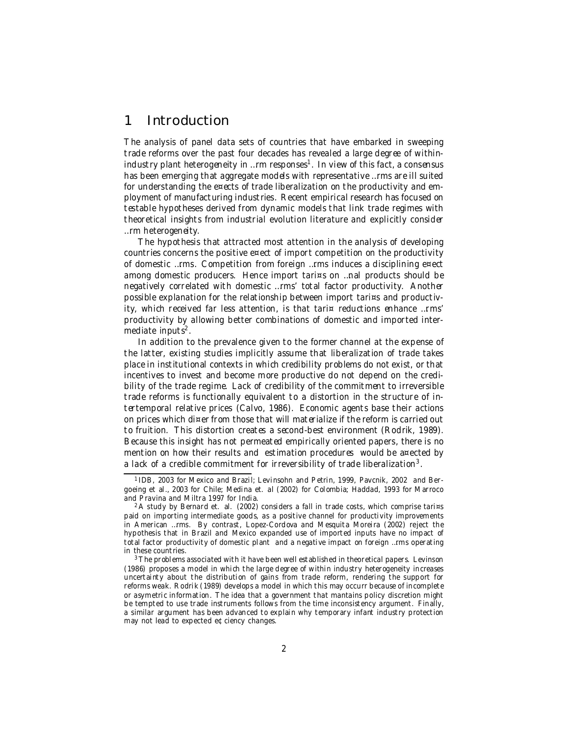#### 1 Introduction

The analysis of panel data sets of countries that have embarked in sweeping trade reforms over the past four decades has revealed a large degree of withinindustry plant heterogeneity in …rm responses 1 . In view of this fact, a consensus has been emerging that aggregate models with representative …rms are ill suited for understanding the e¤ects of trade liberalization on the productivity and employment of manufacturing industries. Recent empirical research has focused on testable hypotheses derived from dynamic models that link trade regimes with theoretical insights from industrial evolution literature and explicitly consider …rm heterogeneity.

The hypothesis that attracted most attention in the analysis of developing countries concerns the positive e¤ect of import competition on the productivity of domestic …rms. Competition from foreign …rms induces a disciplining e¤ect among domestic producers. Hence import tari¤s on …nal products should be negatively correlated with domestic …rms' total factor productivity. Another possible explanation for the relationship between import tari¤s and productivity, which received far less attention, is that tari¤ reductions enhance …rms' productivity by allowing better combinations of domestic and imported intermediate inputs<sup>2</sup>.

In addition to the prevalence given to the former channel at the expense of the latter, existing studies implicitly assume that liberalization of trade takes place in institutional contexts in which credibility problems do not exist, or that incentives to invest and become more productive do not depend on the credibility of the trade regime. Lack of credibility of the commitment to irreversible trade reforms is functionally equivalent to a distortion in the structure of intertemporal relative prices (Calvo, 1986). Economic agents base their actions on prices which di¤er from those that will materialize if the reform is carried out to fruition. This distortion creates a second-best environment (Rodrik, 1989). Because this insight has not permeated empirically oriented papers, there is no mention on how their results and estimation procedures would be a¤ected by a lack of a credible commitment for irreversibility of trade liberalization $^3\!$ .

<sup>1</sup> IDB, 2003 for Mexico and Brazil; Levinsohn and Petrin, 1999, Pavcnik, 2002 and Bergoeing et al., 2003 for Chile; Medina et. al (2002) for Colombia; Haddad, 1993 for Marroco and Pravina and Miltra 1997 for India.

<sup>&</sup>lt;sup>2</sup> A study by Bernard et. al. (2002) considers a fall in trade costs, which comprise tari¤s paid on importing intermediate goods, as a positive channel for productivity improvements in American …rms. By contrast, Lopez-Cordova and Mesquita Moreira (2002) reject the hypothesis that in Brazil and Mexico expanded use of imported inputs have no impact of total factor productivity of domestic plant and a negative impact on foreign …rms operating in these countries.

<sup>&</sup>lt;sup>3</sup> The problems associated with it have been well established in theoretical papers. Levinson (1986) proposes a model in which the large degree of within industry heterogeneity increases uncertainty about the distribution of gains from trade reform, rendering the support for reforms weak. Rodrik (1989) develops a model in which this may occurr because of incomplete or asymetric information. The idea that a government that mantains policy discretion might be tempted to use trade instruments follows from the time inconsistency argument. Finally, a similar argument has been advanced to explain why temporary infant industry protection may not lead to expected e¢ciency changes.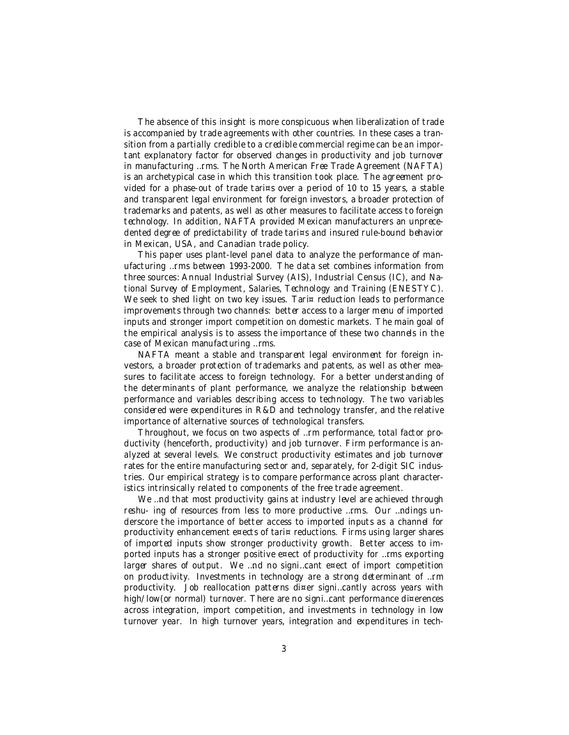The absence of this insight is more conspicuous when liberalization of trade is accompanied by trade agreements with other countries. In these cases a transition from a partially credible to a credible commercial regime can be an important explanatory factor for observed changes in productivity and job turnover in manufacturing …rms. The North American Free Trade Agreement (NAFTA) is an archetypical case in which this transition took place. The agreement provided for a phase-out of trade tari¤s over a period of 10 to 15 years, a stable and transparent legal environment for foreign investors, a broader protection of trademarks and patents, as well as other measures to facilitate access to foreign technology. In addition, NAFTA provided Mexican manufacturers an unprecedented degree of predictability of trade tari¤s and insured rule-bound behavior in Mexican, USA, and Canadian trade policy.

This paper uses plant-level panel data to analyze the performance of manufacturing …rms between 1993-2000. The data set combines information from three sources: Annual Industrial Survey (AIS), Industrial Census (IC), and National Survey of Employment, Salaries, Technology and Training (ENESTYC). We seek to shed light on two key issues. Tari¤ reduction leads to performance improvements through two channels: better access to a larger menu of imported inputs and stronger import competition on domestic markets. The main goal of the empirical analysis is to assess the importance of these two channels in the case of Mexican manufacturing …rms.

NAFTA meant a stable and transparent legal environment for foreign investors, a broader protection of trademarks and patents, as well as other measures to facilitate access to foreign technology. For a better understanding of the determinants of plant performance, we analyze the relationship between performance and variables describing access to technology. The two variables considered were expenditures in R&D and technology transfer, and the relative importance of alternative sources of technological transfers.

Throughout, we focus on two aspects of …rm performance, total factor productivity (henceforth, productivity) and job turnover. Firm performance is analyzed at several levels. We construct productivity estimates and job turnover rates for the entire manufacturing sector and, separately, for 2-digit SIC industries. Our empirical strategy is to compare performance across plant characteristics intrinsically related to components of the free trade agreement.

We ...nd that most productivity gains at industry level are achieved through reshu-ing of resources from less to more productive ... rms. Our ... ndings underscore the importance of better access to imported inputs as a channel for productivity enhancement e¤ects of tari¤ reductions. Firms using larger shares of imported inputs show stronger productivity growth. Better access to imported inputs has a stronger positive e¤ect of productivity for …rms exporting larger shares of output. We ...nd no signi...cant  $e^{\pi}$  ect of import competition on productivity. Investments in technology are a strong determinant of …rm productivity. Job reallocation patterns di¤er signi…cantly across years with high/low(or normal) turnover. There are no signi...cant performance di¤erences across integration, import competition, and investments in technology in low turnover year. In high turnover years, integration and expenditures in tech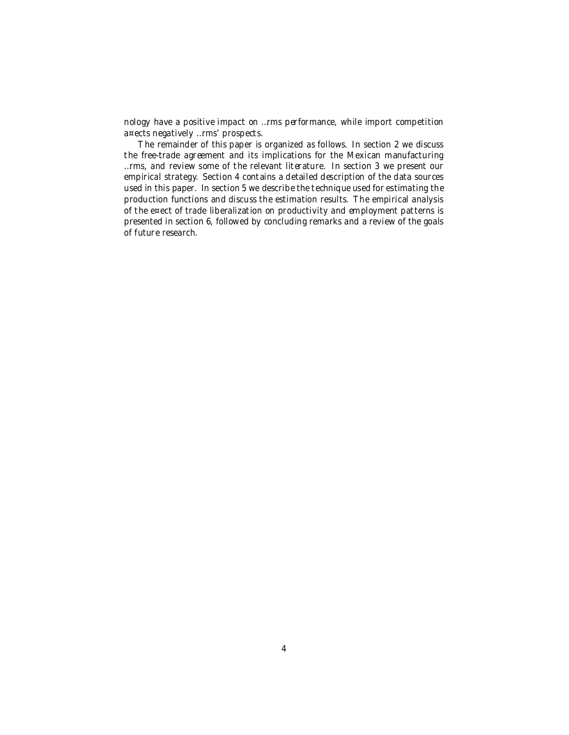nology have a positive impact on …rms performance, while import competition a¤ects negatively …rms' prospects.

The remainder of this paper is organized as follows. In section 2 we discuss the free-trade agreement and its implications for the Mexican manufacturing …rms, and review some of the relevant literature. In section 3 we present our empirical strategy. Section 4 contains a detailed description of the data sources used in this paper. In section 5 we describe the technique used for estimating the production functions and discuss the estimation results. The empirical analysis of the e¤ect of trade liberalization on productivity and employment patterns is presented in section 6, followed by concluding remarks and a review of the goals of future research.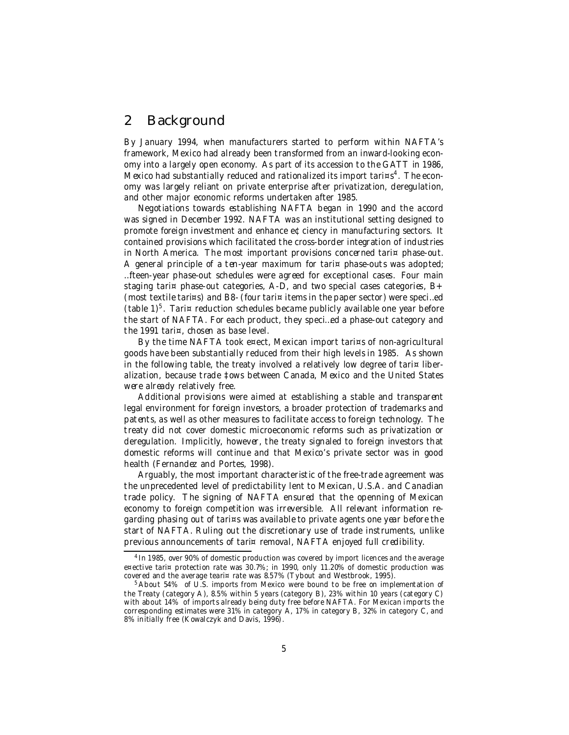#### 2 Background

By January 1994, when manufacturers started to perform within NAFTA's framework, Mexico had already been transformed from an inward-looking economy into a largely open economy. As part of its accession to the GATT in 1986, Mexico had substantially reduced and rationalized its import tari¤s<sup>4</sup>. The economy was largely reliant on private enterprise after privatization, deregulation, and other major economic reforms undertaken after 1985.

Negotiations towards establishing NAFTA began in 1990 and the accord was signed in December 1992. NAFTA was an institutional setting designed to promote foreign investment and enhance e¢ciency in manufacturing sectors. It contained provisions which facilitated the cross-border integration of industries in North America. The most important provisions concerned tari¤ phase-out. A general principle of a ten-year maximum for tari¤ phase-outs was adopted; …fteen-year phase-out schedules were agreed for exceptional cases. Four main staging tari $\infty$  phase-out categories, A-D, and two special cases categories, B+ (most textile tari¤s) and B8- (four tari¤ items in the paper sector) were speci…ed (table  $1$ )<sup>5</sup>. Tari¤ reduction schedules became publicly available one year before the start of NAFTA. For each product, they speci…ed a phase-out category and the 1991 tari¤, chosen as base level.

By the time NAFTA took e¤ect, Mexican import tari¤s of non-agricultural goods have been substantially reduced from their high levels in 1985. As shown in the following table, the treaty involved a relatively low degree of tari $\frac{1}{2}$  liberalization, because trade ‡ows between Canada, Mexico and the United States were already relatively free.

Additional provisions were aimed at establishing a stable and transparent legal environment for foreign investors, a broader protection of trademarks and patents, as well as other measures to facilitate access to foreign technology. The treaty did not cover domestic microeconomic reforms such as privatization or deregulation. Implicitly, however, the treaty signaled to foreign investors that domestic reforms will continue and that Mexico's private sector was in good health (Fernandez and Portes, 1998).

Arguably, the most important characteristic of the free-trade agreement was the unprecedented level of predictability lent to Mexican, U.S.A. and Canadian trade policy. The signing of NAFTA ensured that the openning of Mexican economy to foreign competition was irreversible. All relevant information regarding phasing out of tari¤s was available to private agents one year before the start of NAFTA. Ruling out the discretionary use of trade instruments, unlike previous announcements of tari¤ removal, NAFTA enjoyed full credibility.

<sup>&</sup>lt;sup>4</sup> In 1985, over 90% of domestic production was covered by import licences and the average e¤ective tari¤ protection rate was 30.7%; in 1990, only 11.20% of domestic production was covered and the average teari¤ rate was 8.57% (Tybout and Westbrook, 1995).

<sup>&</sup>lt;sup>5</sup> About 54% of U.S. imports from Mexico were bound to be free on implementation of the Treaty (category A), 8.5% within 5 years (category B), 23% within 10 years (category C) with about 14% of imports already being duty free before NAFTA. For Mexican imports the corresponding estimates were 31% in category A, 17% in category B, 32% in category C, and 8% initially free (Kowalczyk and Davis, 1996).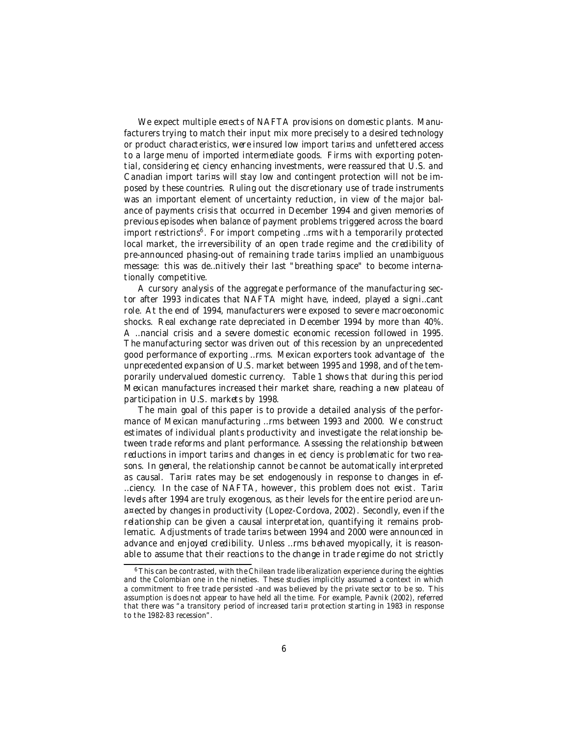We expect multiple e¤ects of NAFTA provisions on domestic plants. Manufacturers trying to match their input mix more precisely to a desired technology or product characteristics, were insured low import tari¤s and unfettered access to a large menu of imported intermediate goods. Firms with exporting potential, considering e¢ciency enhancing investments, were reassured that U.S. and Canadian import tari¤s will stay low and contingent protection will not be imposed by these countries. Ruling out the discretionary use of trade instruments was an important element of uncertainty reduction, in view of the major balance of payments crisis that occurred in December 1994 and given memories of previous episodes when balance of payment problems triggered across the board import restrictions<sup>6</sup>. For import competing ...rms with a temporarily protected local market, the irreversibility of an open trade regime and the credibility of pre-announced phasing-out of remaining trade tari¤s implied an unambiguous message: this was de…nitively their last "breathing space" to become internationally competitive.

A cursory analysis of the aggregate performance of the manufacturing sector after 1993 indicates that NAFTA might have, indeed, played a signi…cant role. At the end of 1994, manufacturers were exposed to severe macroeconomic shocks. Real exchange rate depreciated in December 1994 by more than 40%. A …nancial crisis and a severe domestic economic recession followed in 1995. The manufacturing sector was driven out of this recession by an unprecedented good performance of exporting …rms. Mexican exporters took advantage of the unprecedented expansion of U.S. market between 1995 and 1998, and of the temporarily undervalued domestic currency. Table 1 shows that during this period Mexican manufactures increased their market share, reaching a new plateau of participation in U.S. markets by 1998.

The main goal of this paper is to provide a detailed analysis of the performance of Mexican manufacturing …rms between 1993 and 2000. We construct estimates of individual plants productivity and investigate the relationship between trade reforms and plant performance. Assessing the relationship between reductions in import tari¤s and changes in e¢ciency is problematic for two reasons. In general, the relationship cannot be cannot be automatically interpreted as causal. Tari $\frac{1}{x}$  rates may be set endogenously in response to changes in ef-…ciency. In the case of NAFTA, however, this problem does not exist. Tari¤ levels after 1994 are truly exogenous, as their levels for the entire period are una¤ected by changes in productivity (Lopez-Cordova, 2002). Secondly, even if the relationship can be given a causal interpretation, quantifying it remains problematic. Adjustments of trade tari¤s between 1994 and 2000 were announced in advance and enjoyed credibility. Unless …rms behaved myopically, it is reasonable to assume that their reactions to the change in trade regime do not strictly

<sup>&</sup>lt;sup>6</sup> This can be contrasted, with the Chilean trade liberalization experience during the eighties and the Colombian one in the nineties. These studies implicitly assumed a context in which a commitment to free trade persisted -and was believed by the private sector to be so. This assumption is does not appear to have held all the time. For example, Pavnik (2002), referred that there was "a transitory period of increased tari¤ protection starting in 1983 in response to the 1982-83 recession".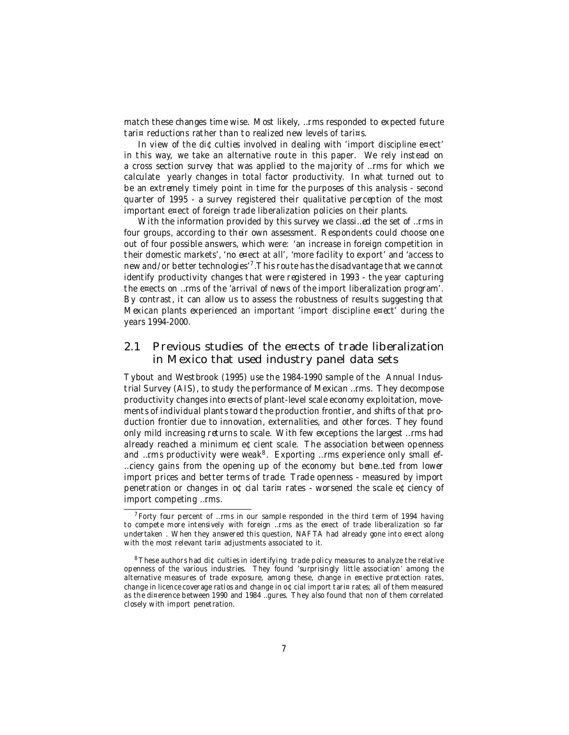match these changes time wise. Most likely, …rms responded to expected future tari¤ reductions rather than to realized new levels of tari¤s.

In view of the di $\text{\textsterling}\,$ culties involved in dealing with 'import discipline e¤ect' in this way, we take an alternative route in this paper. We rely instead on a cross section survey that was applied to the majority of …rms for which we calculate yearly changes in total factor productivity. In what turned out to be an extremely timely point in time for the purposes of this analysis - second quarter of 1995 - a survey registered their qualitative perception of the most important e¤ect of foreign trade liberalization policies on their plants.

With the information provided by this survey we classi…ed the set of …rms in four groups, according to their own assessment. Respondents could choose one out of four possible answers, which were: 'an increase in foreign competition in their domestic markets', 'no e¤ect at all', 'more facility to export' and 'access to new and/or better technologies'<sup>7</sup> .This route has the disadvantage that we cannot identify productivity changes that were registered in 1993 - the year capturing the e¤ects on …rms of the 'arrival of news of the import liberalization program'. By contrast, it can allow us to assess the robustness of results suggesting that Mexican plants experienced an important 'import discipline e¤ect' during the years 1994-2000.

#### 2.1 Previous studies of the e¤ects of trade liberalization in Mexico that used industry panel data sets

Tybout and Westbrook (1995) use the 1984-1990 sample of the Annual Industrial Survey (AIS), to study the performance of Mexican …rms. They decompose productivity changes into e¤ects of plant-level scale economy exploitation, movements of individual plants toward the production frontier, and shifts of that production frontier due to innovation, externalities, and other forces. They found only mild increasing returns to scale. With few exceptions the largest …rms had already reached a minimum e¢cient scale. The association between openness and …rms productivity were weak<sup>8</sup>. Exporting …rms experience only small ef-…ciency gains from the opening up of the economy but bene…ted from lower import prices and better terms of trade. Trade openness - measured by import penetration or changes in o¢cial tari¤ rates - worsened the scale e¢ciency of import competing …rms.

 $^7$  Forty four percent of …rms in our sample responded in the third term of 1994 having to compete more intensively with foreign …rms as the e¤ect of trade liberalization so far undertaken. When they answered this question, NAFTA had already gone into  $e^{\pi}$ ect along with the most relevant tari¤ adjustments associated to it.

 $8$  These authors had di $\Phi$  culties in identifying trade policy measures to analyze the relative openness of the various industries. They found 'surprisingly little association' among the alternative measures of trade exposure, among these, change in e¤ective protection rates, change in licence coverage ratios and change in o¢cial import tari¤ rates; all of them measured as the di¤erence between 1990 and 1984 …gures. They also found that non of them correlated closely with import penetration.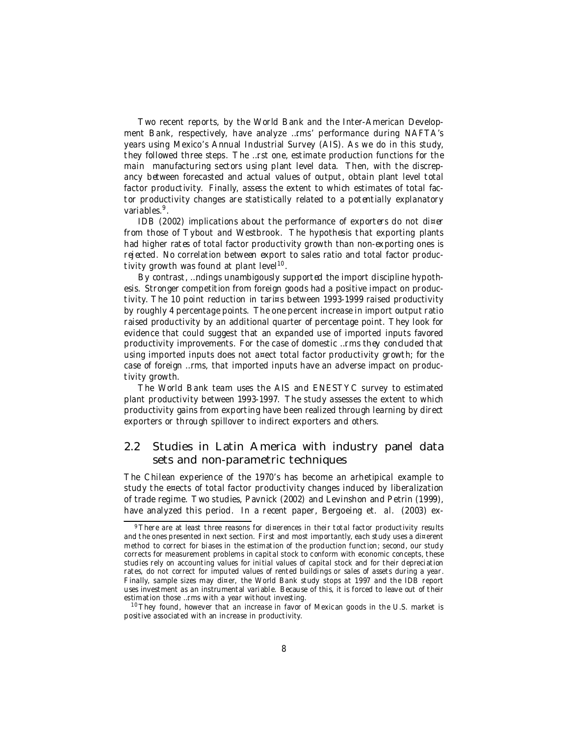Two recent reports, by the World Bank and the Inter-American Development Bank, respectively, have analyze …rms' performance during NAFTA's years using Mexico's Annual Industrial Survey (AIS). As we do in this study, they followed three steps. The …rst one, estimate production functions for the main manufacturing sectors using plant level data. Then, with the discrepancy between forecasted and actual values of output, obtain plant level total factor productivity. Finally, assess the extent to which estimates of total factor productivity changes are statistically related to a potentially explanatory variables.<sup>9</sup>.

IDB (2002) implications about the performance of exporters do not di¤er from those of Tybout and Westbrook. The hypothesis that exporting plants had higher rates of total factor productivity growth than non-exporting ones is rejected. No correlation between export to sales ratio and total factor productivity growth was found at plant level<sup>10</sup>.

By contrast, …ndings unambigously supported the import discipline hypothesis. Stronger competition from foreign goods had a positive impact on productivity. The 10 point reduction in tari¤s between 1993-1999 raised productivity by roughly 4 percentage points. The one percent increase in import output ratio raised productivity by an additional quarter of percentage point. They look for evidence that could suggest that an expanded use of imported inputs favored productivity improvements. For the case of domestic …rms they concluded that using imported inputs does not a¤ect total factor productivity growth; for the case of foreign …rms, that imported inputs have an adverse impact on productivity growth.

The World Bank team uses the AIS and ENESTYC survey to estimated plant productivity between 1993-1997. The study assesses the extent to which productivity gains from exporting have been realized through learning by direct exporters or through spillover to indirect exporters and others.

#### 2.2 Studies in Latin America with industry panel data sets and non-parametric techniques

The Chilean experience of the 1970's has become an arhetipical example to study the e¤ects of total factor productivity changes induced by liberalization of trade regime. Two studies, Pavnick (2002) and Levinshon and Petrin (1999), have analyzed this period. In a recent paper, Bergoeing et. al. (2003) ex-

<sup>9</sup> There are at least three reasons for di¤erences in their total factor productivity results and the ones presented in next section. First and most importantly, each study uses a di¤erent method to correct for biases in the estimation of the production function; second, our study corrects for measurement problems in capital stock to conform with economic concepts, these studies rely on accounting values for initial values of capital stock and for their depreciation rates, do not correct for imputed values of rented buildings or sales of assets during a year. Finally, sample sizes may di¤er, the World Bank study stops at 1997 and the IDB report uses investment as an instrumental variable. Because of this, it is forced to leave out of their estimation those …rms with a year without investing.

<sup>&</sup>lt;sup>10</sup> They found, however that an increase in favor of Mexican goods in the U.S. market is positive associated with an increase in productivity.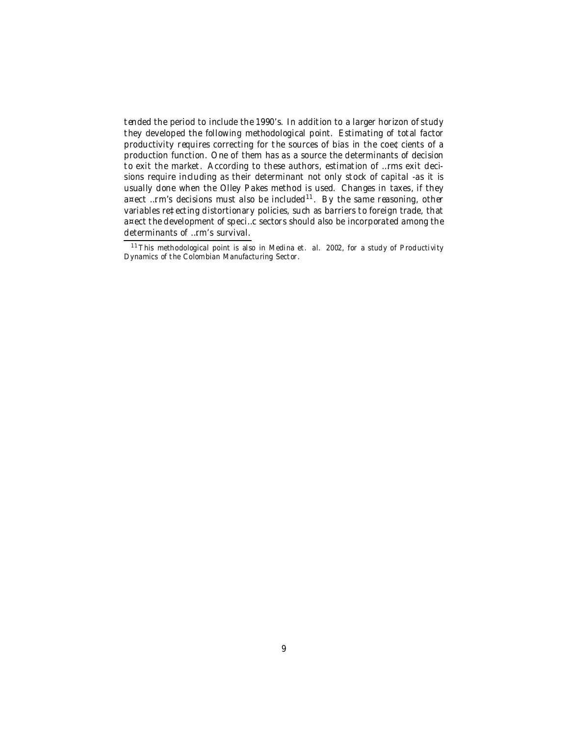tended the period to include the 1990's. In addition to a larger horizon of study they developed the following methodological point. Estimating of total factor productivity requires correcting for the sources of bias in the coe¢cients of a production function. One of them has as a source the determinants of decision to exit the market. According to these authors, estimation of …rms exit decisions require including as their determinant not only stock of capital -as it is usually done when the Olley Pakes method is used. Changes in taxes, if they a¤ect …rm's decisions must also be included<sup>11</sup>. By the same reasoning, other variables re‡ecting distortionary policies, such as barriers to foreign trade, that a¤ect the development of speci…c sectors should also be incorporated among the determinants of …rm's survival.

<sup>&</sup>lt;sup>11</sup> This methodological point is also in Medina et. al. 2002, for a study of Productivity Dynamics of the Colombian Manufacturing Sector.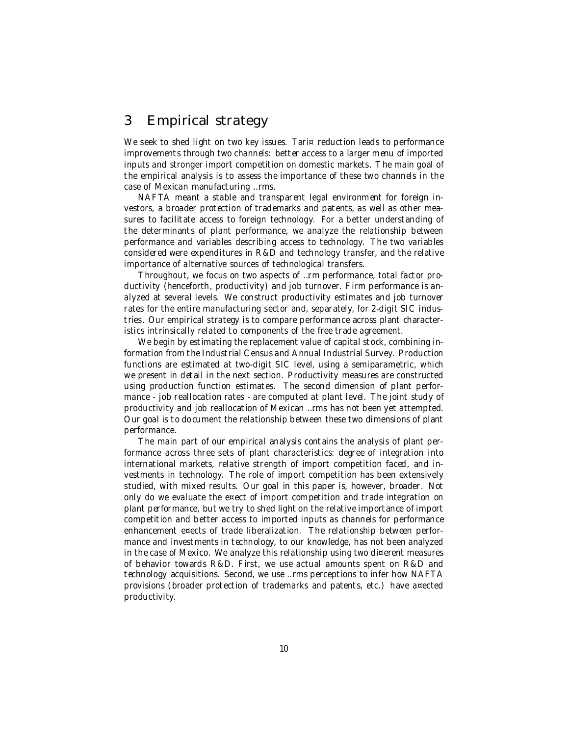#### 3 Empirical strategy

We seek to shed light on two key issues. Tari¤ reduction leads to performance improvements through two channels: better access to a larger menu of imported inputs and stronger import competition on domestic markets. The main goal of the empirical analysis is to assess the importance of these two channels in the case of Mexican manufacturing …rms.

NAFTA meant a stable and transparent legal environment for foreign investors, a broader protection of trademarks and patents, as well as other measures to facilitate access to foreign technology. For a better understanding of the determinants of plant performance, we analyze the relationship between performance and variables describing access to technology. The two variables considered were expenditures in R&D and technology transfer, and the relative importance of alternative sources of technological transfers.

Throughout, we focus on two aspects of …rm performance, total factor productivity (henceforth, productivity) and job turnover. Firm performance is analyzed at several levels. We construct productivity estimates and job turnover rates for the entire manufacturing sector and, separately, for 2-digit SIC industries. Our empirical strategy is to compare performance across plant characteristics intrinsically related to components of the free trade agreement.

We begin by estimating the replacement value of capital stock, combining information from the Industrial Census and Annual Industrial Survey. Production functions are estimated at two-digit SIC level, using a semiparametric, which we present in detail in the next section. Productivity measures are constructed using production function estimates. The second dimension of plant performance - job reallocation rates - are computed at plant level. The joint study of productivity and job reallocation of Mexican …rms has not been yet attempted. Our goal is to document the relationship between these two dimensions of plant performance.

The main part of our empirical analysis contains the analysis of plant performance across three sets of plant characteristics: degree of integration into international markets, relative strength of import competition faced, and investments in technology. The role of import competition has been extensively studied, with mixed results. Our goal in this paper is, however, broader. Not only do we evaluate the e¤ect of import competition and trade integration on plant performance, but we try to shed light on the relative importance of import competition and better access to imported inputs as channels for performance enhancement e¤ects of trade liberalization. The relationship between performance and investments in technology, to our knowledge, has not been analyzed in the case of Mexico. We analyze this relationship using two di¤erent measures of behavior towards R&D. First, we use actual amounts spent on R&D and technology acquisitions. Second, we use …rms perceptions to infer how NAFTA provisions (broader protection of trademarks and patents, etc.) have a¤ected productivity.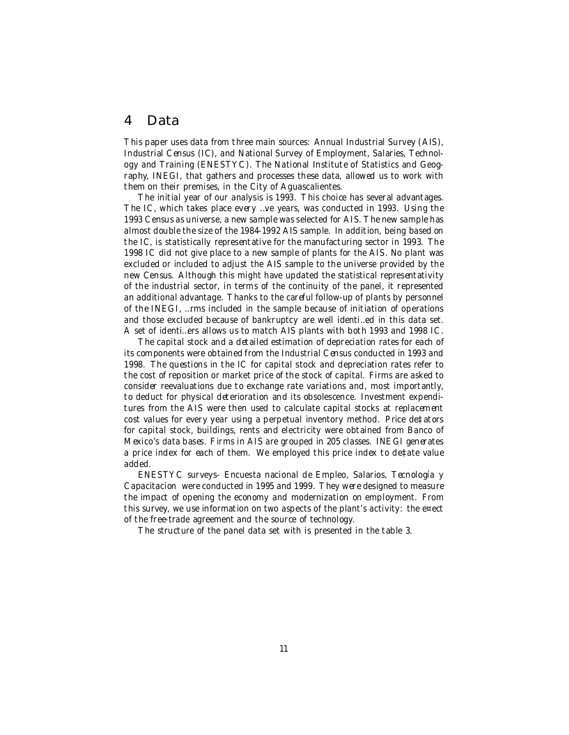#### 4 Data

This paper uses data from three main sources: Annual Industrial Survey (AIS), Industrial Census (IC), and National Survey of Employment, Salaries, Technology and Training (ENESTYC). The National Institute of Statistics and Geography, INEGI, that gathers and processes these data, allowed us to work with them on their premises, in the City of Aguascalientes.

The initial year of our analysis is 1993. This choice has several advantages. The IC, which takes place every …ve years, was conducted in 1993. Using the 1993 Census as universe, a new sample was selected for AIS. The new sample has almost double the size of the 1984-1992 AIS sample. In addition, being based on the IC, is statistically representative for the manufacturing sector in 1993. The 1998 IC did not give place to a new sample of plants for the AIS. No plant was excluded or included to adjust the AIS sample to the universe provided by the new Census. Although this might have updated the statistical representativity of the industrial sector, in terms of the continuity of the panel, it represented an additional advantage. Thanks to the careful follow-up of plants by personnel of the INEGI, …rms included in the sample because of initiation of operations and those excluded because of bankruptcy are well identi…ed in this data set. A set of identi…ers allows us to match AIS plants with both 1993 and 1998 IC.

The capital stock and a detailed estimation of depreciation rates for each of its components were obtained from the Industrial Census conducted in 1993 and 1998. The questions in the IC for capital stock and depreciation rates refer to the cost of reposition or market price of the stock of capital. Firms are asked to consider reevaluations due to exchange rate variations and, most importantly, to deduct for physical deterioration and its obsolescence. Investment expenditures from the AIS were then used to calculate capital stocks at replacement cost values for every year using a perpetual inventory method. Price de‡ators for capital stock, buildings, rents and electricity were obtained from Banco of Mexico's data bases. Firms in AIS are grouped in 205 classes. INEGI generates a price index for each of them. We employed this price index to de‡ate value added.

ENESTYC surveys- Encuesta nacional de Empleo, Salarios, Tecnología y Capacitacion were conducted in 1995 and 1999. They were designed to measure the impact of opening the economy and modernization on employment. From this survey, we use information on two aspects of the plant's activity: the e¤ect of the free-trade agreement and the source of technology.

The structure of the panel data set with is presented in the table 3.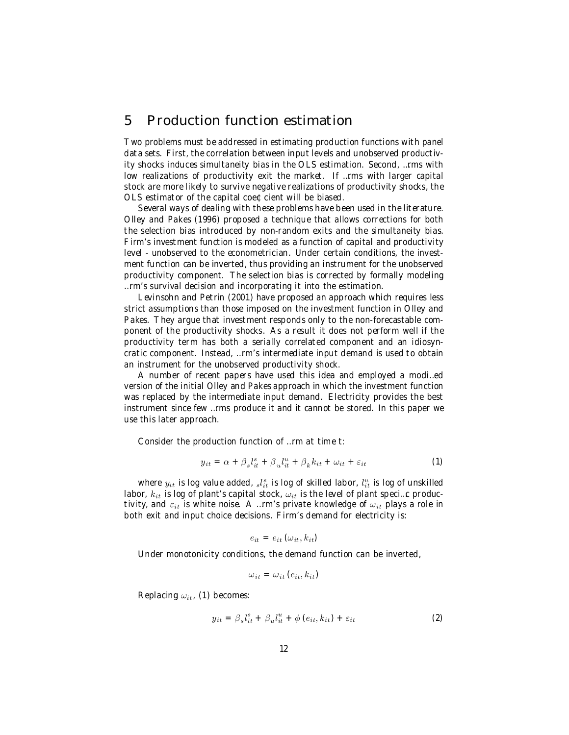#### 5 Production function estimation

Two problems must be addressed in estimating production functions with panel data sets. First, the correlation between input levels and unobserved productivity shocks induces simultaneity bias in the OLS estimation. Second, …rms with low realizations of productivity exit the market. If …rms with larger capital stock are more likely to survive negative realizations of productivity shocks, the OLS estimator of the capital coe¢cient will be biased.

Several ways of dealing with these problems have been used in the literature. Olley and Pakes (1996) proposed a technique that allows corrections for both the selection bias introduced by non-random exits and the simultaneity bias. Firm's investment function is modeled as a function of capital and productivity level - unobserved to the econometrician. Under certain conditions, the investment function can be inverted, thus providing an instrument for the unobserved productivity component. The selection bias is corrected by formally modeling …rm's survival decision and incorporating it into the estimation.

Levinsohn and Petrin (2001) have proposed an approach which requires less strict assumptions than those imposed on the investment function in Olley and Pakes. They argue that investment responds only to the non-forecastable component of the productivity shocks. As a result it does not perform well if the productivity term has both a serially correlated component and an idiosyncratic component. Instead, …rm's intermediate input demand is used to obtain an instrument for the unobserved productivity shock.

A number of recent papers have used this idea and employed a modi…ed version of the initial Olley and Pakes approach in which the investment function was replaced by the intermediate input demand. Electricity provides the best instrument since few …rms produce it and it cannot be stored. In this paper we use this later approach.

Consider the production function of …rm at time t:

$$
y_{it} = \alpha + \beta_s l_{it}^s + \beta_u l_{it}^u + \beta_k k_{it} + \omega_{it} + \varepsilon_{it}
$$
 (1)

where  $y_{it}$  is log value added,  $_{s}l_{it}^{s}$  is log of skilled labor,  $l_{it}^{u}$  is log of unskilled labor,  $k_{it}$  is log of plant's capital stock,  $\omega_{it}$  is the level of plant speci...c productivity, and  $\varepsilon_{it}$  is white noise. A …rm's private knowledge of  $\omega_{it}$  plays a role in both exit and input choice decisions. Firm's demand for electricity is:

$$
e_{it} = e_{it} \left( \omega_{it}, k_{it} \right)
$$

Under monotonicity conditions, the demand function can be inverted,

$$
\omega_{it} = \omega_{it} (e_{it}, k_{it})
$$

Replacing  $\omega_{it}$ , (1) becomes:

$$
y_{it} = \beta_s l_{it}^s + \beta_u l_{it}^u + \phi \left(e_{it}, k_{it}\right) + \varepsilon_{it}
$$
 (2)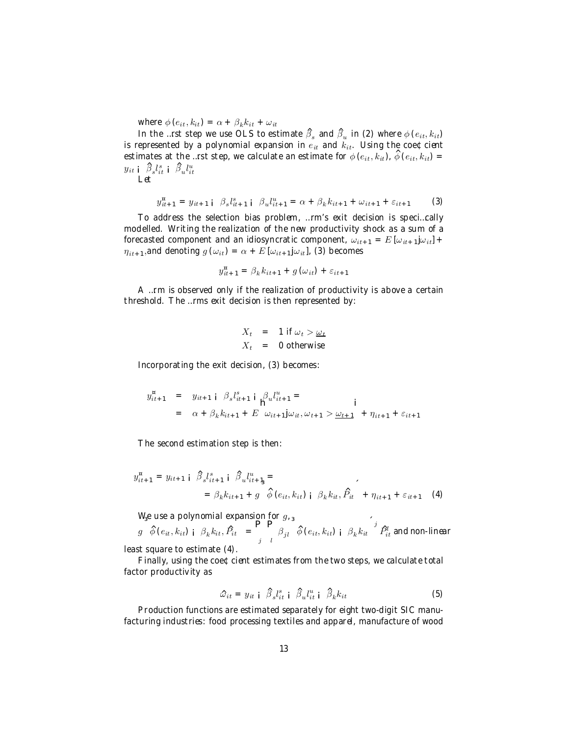where  $\phi(e_{it}, k_{it}) = \alpha + \beta_k k_{it} + \omega_{it}$ 

In the …rst step we use OLS to estimate  $\hat{\beta}_s$  and  $\hat{\beta}_u$  in (2) where  $\phi\left(e_{it},k_{it}\right)$ is represented by a polynomial expansion in  $e_{it}$  and  $k_{it}$ . Using the coe¢cient estimates at the …rst step, we calculate an estimate for  $\phi\left(e_{it},k_{it}\right)$  ,  $\hat{\phi}\left(e_{it},k_{it}\right)$  =  $y_{it}$  į  $\beta_s l_{it}^s$  į  $\beta_u l_{it}^u$ Let

$$
y_{it+1}^{\mu} = y_{it+1} \mathbf{i} \ \beta_s l_{it+1}^s \mathbf{i} \ \beta_u l_{it+1}^u = \alpha + \beta_k k_{it+1} + \omega_{it+1} + \varepsilon_{it+1} \tag{3}
$$

To address the selection bias problem, …rm's exit decision is speci…cally modelled. Writing the realization of the new productivity shock as a sum of a forecasted component and an idiosyncratic component,  $\omega_{it+1} = E [\omega_{it+1}]\omega_{it}] +$  $\eta_{it+1}$ ,and denoting  $g(\omega_{it}) = \alpha + E[\omega_{it+1}j\omega_{it}]$ , (3) becomes

$$
y_{it+1}^{\mathbf{a}} = \beta_k k_{it+1} + g(\omega_{it}) + \varepsilon_{it+1}
$$

A …rm is observed only if the realization of productivity is above a certain threshold. The …rms exit decision is then represented by:

$$
X_t = 1 \text{ if } \omega_t > \underline{\omega_t}
$$
  

$$
X_t = 0 \text{ otherwise}
$$

Incorporating the exit decision, (3) becomes:

$$
y_{it+1}^{\mu} = y_{it+1} \mathbf{i} \beta_s l_{it+1}^s \mathbf{i} \mathbf{j} \mathbf{k}_t l_{it+1}^u = \mathbf{i}
$$
  
=  $\alpha + \beta_k k_{it+1} + E \omega_{it+1} j \omega_{it}, \omega_{t+1} > \underline{\omega_{t+1}} + \eta_{it+1} + \varepsilon_{it+1}$ 

The second estimation step is then:

$$
y_{it+1}^{\mathfrak{n}} = y_{it+1} \mathfrak{i} \beta_s l_{it+1}^s \mathfrak{j} \beta_u l_{it+1}^{\mathfrak{u}} =
$$
  
=  $\beta_k k_{it+1} + g \phi$  ( $e_{it}, k_{it}$ )  $\mathfrak{j} \beta_k k_{it}, \hat{P}_{it} + \eta_{it+1} + \varepsilon_{it+1}$  (4)

We use a polynomial expansion for  $g$ ,

 $g \quad \hat{\phi} \left(e_{it}, k_{it}\right)$   $\hat{\beta}_k k_{it}, \hat{P}_{it} = \begin{bmatrix} \mathbf{P} \end{bmatrix}$ j P  $\int\limits_{l}^{\infty}\beta_{jl}\left[\hat{\phi}\left(e_{it},k_{it}\right)_{\textbf{i}}\mid\beta_{k}k_{it}\right]^{j}\hat{P}_{it}^{l}$  and non-linear least square to estimate (4).

Finally, using the coe¢cient estimates from the two steps, we calculate total factor productivity as

$$
\hat{\omega}_{it} = y_{it} \mid \hat{\beta}_s l_{it}^s \mid \hat{\beta}_u l_{it}^u \mid \hat{\beta}_k k_{it}
$$
 (5)

Production functions are estimated separately for eight two-digit SIC manufacturing industries: food processing textiles and apparel, manufacture of wood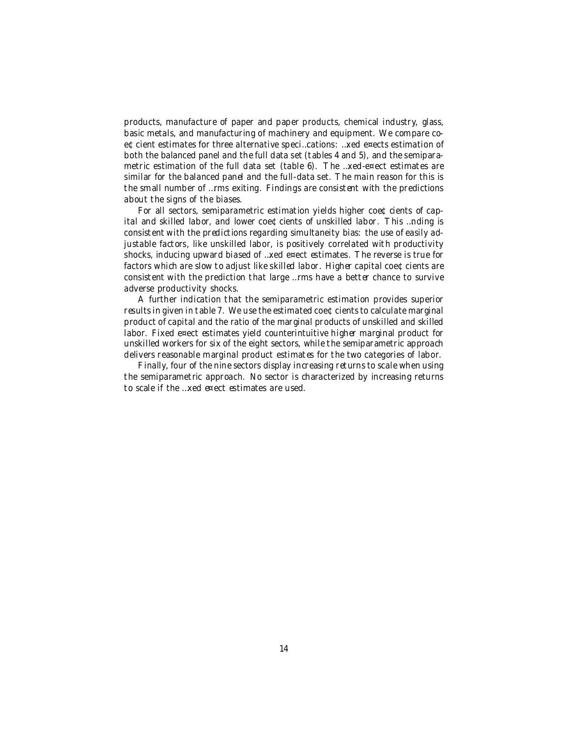products, manufacture of paper and paper products, chemical industry, glass, basic metals, and manufacturing of machinery and equipment. We compare coe¢cient estimates for three alternative speci…cations: …xed e¤ects estimation of both the balanced panel and the full data set (tables 4 and 5), and the semiparametric estimation of the full data set (table 6). The …xed-e¤ect estimates are similar for the balanced panel and the full-data set. The main reason for this is the small number of …rms exiting. Findings are consistent with the predictions about the signs of the biases.

For all sectors, semiparametric estimation yields higher coe $\Phi$  cients of capital and skilled labor, and lower coe¢cients of unskilled labor. This …nding is consistent with the predictions regarding simultaneity bias: the use of easily adjustable factors, like unskilled labor, is positively correlated with productivity shocks, inducing upward biased of …xed e¤ect estimates. The reverse is true for factors which are slow to adjust like skilled labor. Higher capital coe¢cients are consistent with the prediction that large …rms have a better chance to survive adverse productivity shocks.

A further indication that the semiparametric estimation provides superior results in given in table 7. We use the estimated coe¢cients to calculate marginal product of capital and the ratio of the marginal products of unskilled and skilled labor. Fixed e¤ect estimates yield counterintuitive higher marginal product for unskilled workers for six of the eight sectors, while the semiparametric approach delivers reasonable marginal product estimates for the two categories of labor.

Finally, four of the nine sectors display increasing returns to scale when using the semiparametric approach. No sector is characterized by increasing returns to scale if the …xed e¤ect estimates are used.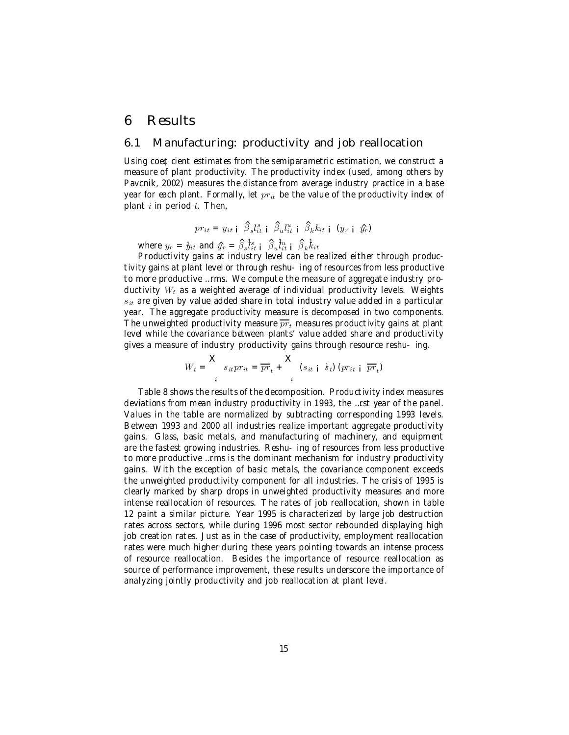#### 6 Results

#### 6.1 Manufacturing: productivity and job reallocation

Using coe  $\text{c}$  cient estimates from the semiparametric estimation, we construct a measure of plant productivity. The productivity index (used, among others by Pavcnik, 2002) measures the distance from average industry practice in a base year for each plant. Formally, let  $pr_{it}$  be the value of the productivity index of plant  $i$  in period  $t$ . Then,

$$
pri_t = y_{it} \mid \hat{\beta}_s l_{it}^s \mid \hat{\beta}_u l_{it}^u \mid \hat{\beta}_k k_{it} \mid (y_r \mid \hat{y}_r)
$$

where  $y_r = y_{it}$  and  $\hat{y}_r = \hat{\beta}_s \hat{l}_{it}^s$  i  $\hat{\beta}_u \hat{l}_{it}^u$  i  $\hat{\beta}_k \hat{k}_{it}$ 

Productivity gains at industry level can be realized either through productivity gains at plant level or through reshu-ing of resources from less productive to more productive …rms. We compute the measure of aggregate industry productivity  $W_t$  as a weighted average of individual productivity levels. Weights  $s_{it}$  are given by value added share in total industry value added in a particular year. The aggregate productivity measure is decomposed in two components. The unweighted productivity measure  $\overline{pr}_t$  measures productivity gains at plant level while the covariance between plants' value added share and productivity gives a measure of industry productivity gains through resource reshu-ing.

$$
W_t = \sum_{i} s_{it} pr_{it} = \overline{pr}_t + \sum_{i} (s_{it} \mid \mathbf{A}_t) (pr_{it} \mid \overline{pr}_t)
$$

Table 8 shows the results of the decomposition. Productivity index measures deviations from mean industry productivity in 1993, the …rst year of the panel. Values in the table are normalized by subtracting corresponding 1993 levels. Between 1993 and 2000 all industries realize important aggregate productivity gains. Glass, basic metals, and manufacturing of machinery, and equipment are the fastest growing industries. Reshu-ing of resources from less productive to more productive …rms is the dominant mechanism for industry productivity gains. With the exception of basic metals, the covariance component exceeds the unweighted productivity component for all industries. The crisis of 1995 is clearly marked by sharp drops in unweighted productivity measures and more intense reallocation of resources. The rates of job reallocation, shown in table 12 paint a similar picture. Year 1995 is characterized by large job destruction rates across sectors, while during 1996 most sector rebounded displaying high job creation rates. Just as in the case of productivity, employment reallocation rates were much higher during these years pointing towards an intense process of resource reallocation. Besides the importance of resource reallocation as source of performance improvement, these results underscore the importance of analyzing jointly productivity and job reallocation at plant level.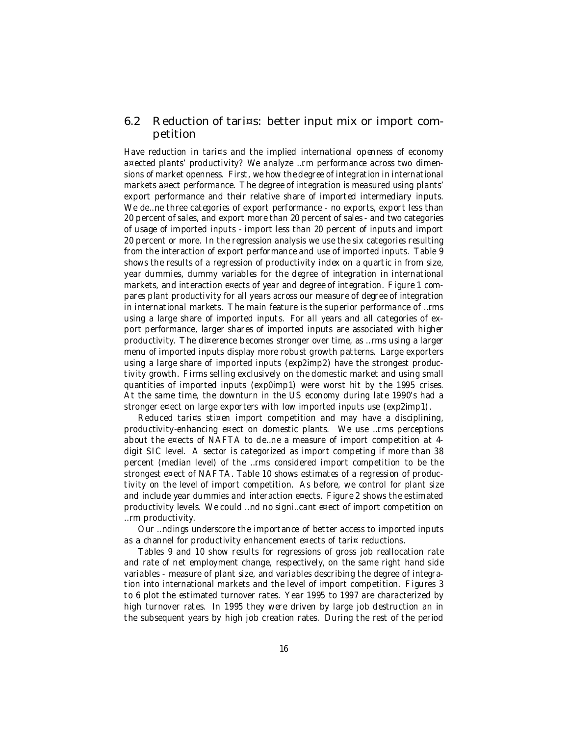#### 6.2 Reduction of tari¤s: better input mix or import competition

Have reduction in tari¤s and the implied international openness of economy a¤ected plants' productivity? We analyze …rm performance across two dimensions of market openness. First, we how the degree of integration in international markets a¤ect performance. The degree of integration is measured using plants' export performance and their relative share of imported intermediary inputs. We de... ne three categories of export performance - no exports, export less than 20 percent of sales, and export more than 20 percent of sales - and two categories of usage of imported inputs - import less than 20 percent of inputs and import 20 percent or more. In the regression analysis we use the six categories resulting from the interaction of export performance and use of imported inputs. Table 9 shows the results of a regression of productivity index on a quartic in from size, year dummies, dummy variables for the degree of integration in international markets, and interaction e¤ects of year and degree of integration. Figure 1 compares plant productivity for all years across our measure of degree of integration in international markets. The main feature is the superior performance of …rms using a large share of imported inputs. For all years and all categories of export performance, larger shares of imported inputs are associated with higher productivity. The di¤erence becomes stronger over time, as …rms using a larger menu of imported inputs display more robust growth patterns. Large exporters using a large share of imported inputs (exp2imp2) have the strongest productivity growth. Firms selling exclusively on the domestic market and using small quantities of imported inputs (exp0imp1) were worst hit by the 1995 crises. At the same time, the downturn in the US economy during late 1990's had a stronger e¤ect on large exporters with low imported inputs use (exp2imp1).

Reduced tari¤s sti¤en import competition and may have a disciplining, productivity-enhancing e¤ect on domestic plants. We use …rms perceptions about the e¤ects of NAFTA to de…ne a measure of import competition at 4 digit SIC level. A sector is categorized as import competing if more than 38 percent (median level) of the …rms considered import competition to be the strongest e¤ect of NAFTA. Table 10 shows estimates of a regression of productivity on the level of import competition. As before, we control for plant size and include year dummies and interaction e¤ects. Figure 2 shows the estimated productivity levels. We could …nd no signi…cant e¤ect of import competition on …rm productivity.

Our …ndings underscore the importance of better access to imported inputs as a channel for productivity enhancement e¤ects of tari¤ reductions.

Tables 9 and 10 show results for regressions of gross job reallocation rate and rate of net employment change, respectively, on the same right hand side variables - measure of plant size, and variables describing the degree of integration into international markets and the level of import competition. Figures 3 to 6 plot the estimated turnover rates. Year 1995 to 1997 are characterized by high turnover rates. In 1995 they were driven by large job destruction an in the subsequent years by high job creation rates. During the rest of the period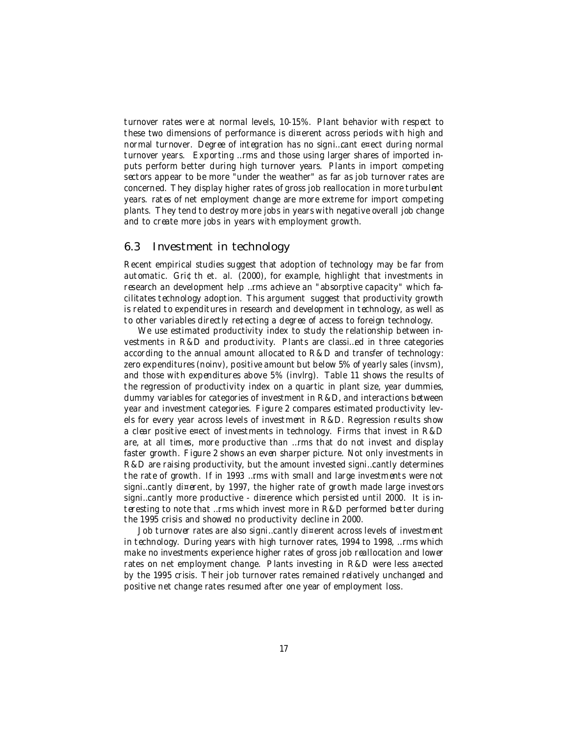turnover rates were at normal levels, 10-15%. Plant behavior with respect to these two dimensions of performance is di¤erent across periods with high and normal turnover. Degree of integration has no signi…cant e¤ect during normal turnover years. Exporting …rms and those using larger shares of imported inputs perform better during high turnover years. Plants in import competing sectors appear to be more "under the weather" as far as job turnover rates are concerned. They display higher rates of gross job reallocation in more turbulent years. rates of net employment change are more extreme for import competing plants. They tend to destroy more jobs in years with negative overall job change and to create more jobs in years with employment growth.

#### 6.3 Investment in technology

Recent empirical studies suggest that adoption of technology may be far from automatic. Gri¢th et. al. (2000), for example, highlight that investments in research an development help …rms achieve an "absorptive capacity" which facilitates technology adoption. This argument suggest that productivity growth is related to expenditures in research and development in technology, as well as to other variables directly re‡ecting a degree of access to foreign technology.

We use estimated productivity index to study the relationship between investments in R&D and productivity. Plants are classi…ed in three categories according to the annual amount allocated to R&D and transfer of technology: zero expenditures (noinv), positive amount but below 5% of yearly sales (invsm), and those with expenditures above 5% (invlrg). Table 11 shows the results of the regression of productivity index on a quartic in plant size, year dummies, dummy variables for categories of investment in R&D, and interactions between year and investment categories. Figure 2 compares estimated productivity levels for every year across levels of investment in R&D. Regression results show a clear positive e¤ect of investments in technology. Firms that invest in R&D are, at all times, more productive than …rms that do not invest and display faster growth. Figure 2 shows an even sharper picture. Not only investments in R&D are raising productivity, but the amount invested signi…cantly determines the rate of growth. If in 1993 …rms with small and large investments were not signi…cantly di¤erent, by 1997, the higher rate of growth made large investors signi...cantly more productive - di¤erence which persisted until 2000. It is interesting to note that …rms which invest more in R&D performed better during the 1995 crisis and showed no productivity decline in 2000.

Job turnover rates are also signi…cantly di¤erent across levels of investment in technology. During years with high turnover rates, 1994 to 1998, …rms which make no investments experience higher rates of gross job reallocation and lower rates on net employment change. Plants investing in R&D were less a¤ected by the 1995 crisis. Their job turnover rates remained relatively unchanged and positive net change rates resumed after one year of employment loss.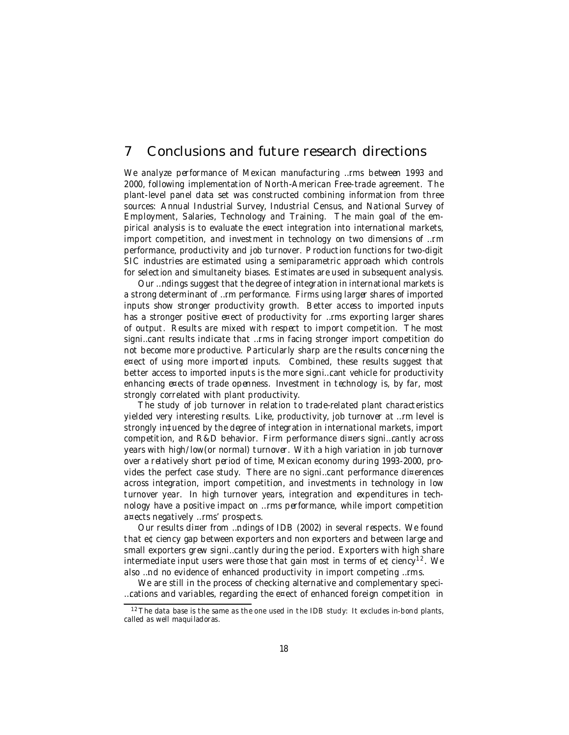#### 7 Conclusions and future research directions

We analyze performance of Mexican manufacturing …rms between 1993 and 2000, following implementation of North-American Free-trade agreement. The plant-level panel data set was constructed combining information from three sources: Annual Industrial Survey, Industrial Census, and National Survey of Employment, Salaries, Technology and Training. The main goal of the empirical analysis is to evaluate the e¤ect integration into international markets, import competition, and investment in technology on two dimensions of …rm performance, productivity and job turnover. Production functions for two-digit SIC industries are estimated using a semiparametric approach which controls for selection and simultaneity biases. Estimates are used in subsequent analysis.

Our …ndings suggest that the degree of integration in international markets is a strong determinant of …rm performance. Firms using larger shares of imported inputs show stronger productivity growth. Better access to imported inputs has a stronger positive e¤ect of productivity for …rms exporting larger shares of output. Results are mixed with respect to import competition. The most signi…cant results indicate that …rms in facing stronger import competition do not become more productive. Particularly sharp are the results concerning the e¤ect of using more imported inputs. Combined, these results suggest that better access to imported inputs is the more signi…cant vehicle for productivity enhancing e¤ects of trade openness. Investment in technology is, by far, most strongly correlated with plant productivity.

The study of job turnover in relation to trade-related plant characteristics yielded very interesting results. Like, productivity, job turnover at …rm level is strongly in‡uenced by the degree of integration in international markets, import competition, and R&D behavior. Firm performance di¤ers signi…cantly across years with high/low(or normal) turnover. With a high variation in job turnover over a relatively short period of time, Mexican economy during 1993-2000, provides the perfect case study. There are no signi…cant performance di¤erences across integration, import competition, and investments in technology in low turnover year. In high turnover years, integration and expenditures in technology have a positive impact on …rms performance, while import competition a¤ects negatively …rms' prospects.

Our results di¤er from …ndings of IDB (2002) in several respects. We found that e¢ciency gap between exporters and non exporters and between large and small exporters grew signi…cantly during the period. Exporters with high share intermediate input users were those that gain most in terms of e¢ciency<sup>12</sup>. We also …nd no evidence of enhanced productivity in import competing …rms.

We are still in the process of checking alternative and complementary speci- ... cations and variables, regarding the e¤ect of enhanced foreign competition in

 $12$  The data base is the same as the one used in the IDB study: It excludes in-bond plants, called as well maquiladoras.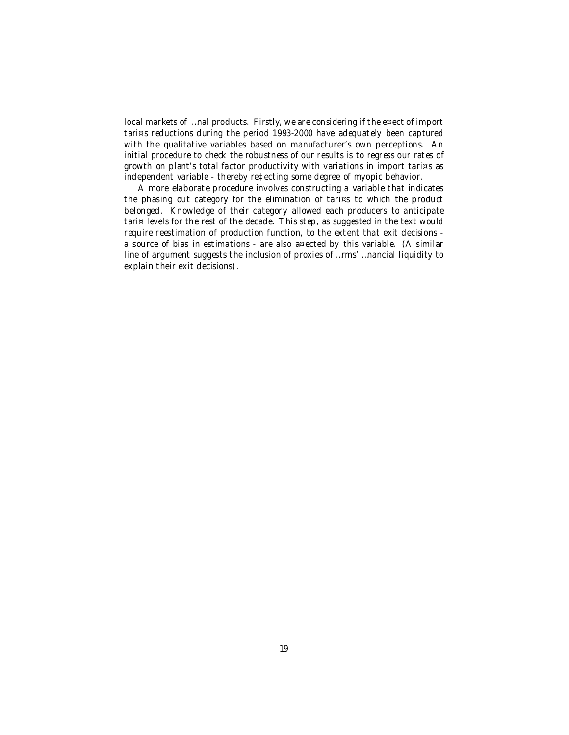local markets of …nal products. Firstly, we are considering if the e¤ect of import tari¤s reductions during the period 1993-2000 have adequately been captured with the qualitative variables based on manufacturer's own perceptions. An initial procedure to check the robustness of our results is to regress our rates of growth on plant's total factor productivity with variations in import tari¤s as independent variable - thereby re‡ecting some degree of myopic behavior.

A more elaborate procedure involves constructing a variable that indicates the phasing out category for the elimination of tari¤s to which the product belonged. Knowledge of their category allowed each producers to anticipate tari¤ levels for the rest of the decade. This step, as suggested in the text would require reestimation of production function, to the extent that exit decisions a source of bias in estimations - are also a¤ected by this variable. (A similar line of argument suggests the inclusion of proxies of …rms' …nancial liquidity to explain their exit decisions).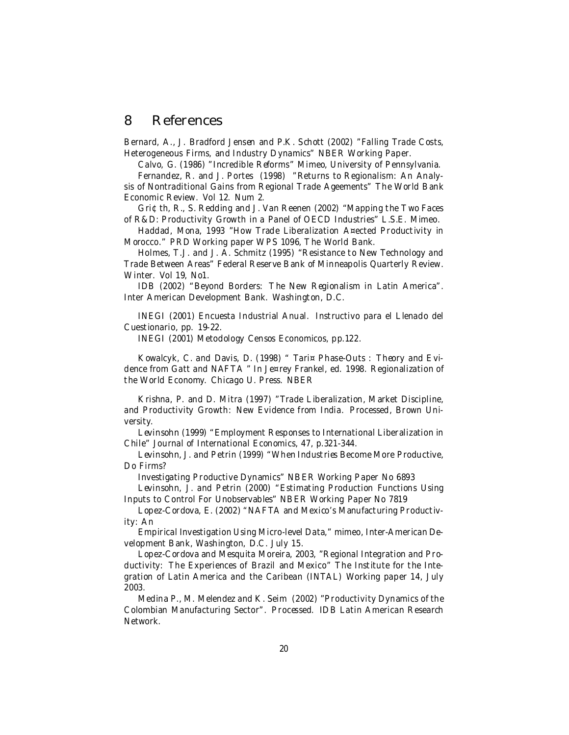#### 8 References

Bernard, A., J. Bradford Jensen and P.K. Schott (2002) "Falling Trade Costs, Heterogeneous Firms, and Industry Dynamics" NBER Working Paper.

Calvo, G. (1986) "Incredible Reforms" Mimeo, University of Pennsylvania. Fernandez, R. and J. Portes (1998) "Returns to Regionalism: An Analysis of Nontraditional Gains from Regional Trade Ageements" The World Bank Economic Review. Vol 12. Num 2.

Gri¢th, R., S. Redding and J. Van Reenen (2002) "Mapping the Two Faces of R&D: Productivity Growth in a Panel of OECD Industries" L.S.E. Mimeo.

Haddad, Mona, 1993 "How Trade Liberalization A¤ected Productivity in Morocco." PRD Working paper WPS 1096, The World Bank.

Holmes, T.J. and J. A. Schmitz (1995) "Resistance to New Technology and Trade Between Areas" Federal Reserve Bank of Minneapolis Quarterly Review. Winter. Vol 19, No1.

IDB (2002) "Beyond Borders: The New Regionalism in Latin America". Inter American Development Bank. Washington, D.C.

INEGI (2001) Encuesta Industrial Anual. Instructivo para el Llenado del Cuestionario, pp. 19-22.

INEGI (2001) Metodology Censos Economicos, pp.122.

Kowalcyk, C. and Davis, D. (1998) " Tari¤ Phase-Outs : Theory and Evidence from Gatt and NAFTA " In Je¤rey Frankel, ed. 1998. Regionalization of the World Economy. Chicago U. Press. NBER

Krishna, P. and D. Mitra (1997) "Trade Liberalization, Market Discipline, and Productivity Growth: New Evidence from India. Processed, Brown University.

Levinsohn (1999) "Employment Responses to International Liberalization in Chile" Journal of International Economics, 47, p.321-344.

Levinsohn, J. and Petrin (1999) "When Industries Become More Productive, Do Firms?

Investigating Productive Dynamics" NBER Working Paper No 6893

Levinsohn, J. and Petrin (2000) "Estimating Production Functions Using Inputs to Control For Unobservables" NBER Working Paper No 7819

Lopez-Cordova, E. (2002) "NAFTA and Mexico's Manufacturing Productivity: An

Empirical Investigation Using Micro-level Data," mimeo, Inter-American Development Bank, Washington, D.C. July 15.

Lopez-Cordova and Mesquita Moreira, 2003, "Regional Integration and Productivity: The Experiences of Brazil and Mexico" The Institute for the Integration of Latin America and the Caribean (INTAL) Working paper 14, July 2003.

Medina P., M. Melendez and K. Seim (2002) "Productivity Dynamics of the Colombian Manufacturing Sector". Processed. IDB Latin American Research Network.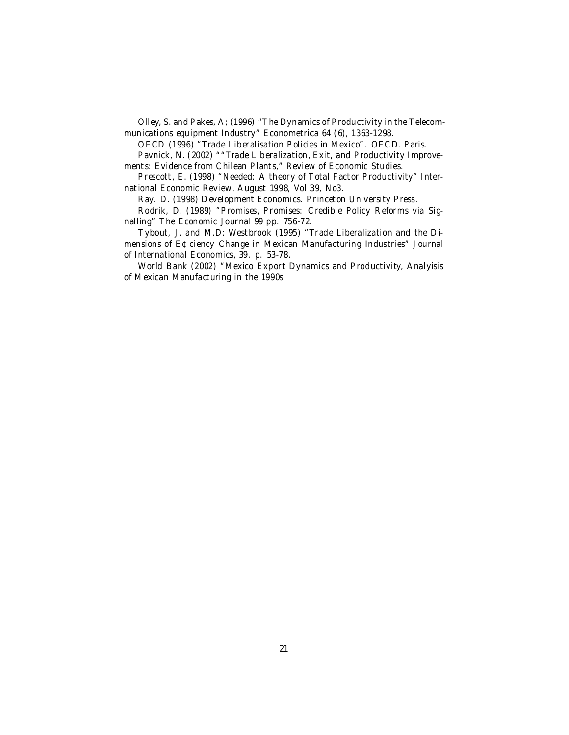Olley, S. and Pakes, A; (1996) "The Dynamics of Productivity in the Telecommunications equipment Industry" Econometrica 64 (6), 1363-1298.

OECD (1996) "Trade Liberalisation Policies in Mexico". OECD. Paris.

Pavnick, N. (2002) ""Trade Liberalization, Exit, and Productivity Improvements: Evidence from Chilean Plants," Review of Economic Studies.

Prescott, E. (1998) "Needed: A theory of Total Factor Productivity" International Economic Review, August 1998, Vol 39, No3.

Ray. D. (1998) Development Economics. Princeton University Press.

Rodrik, D. (1989) "Promises, Promises: Credible Policy Reforms via Signalling" The Economic Journal 99 pp. 756-72.

Tybout, J. and M.D: Westbrook (1995) "Trade Liberalization and the Dimensions of E¢ciency Change in Mexican Manufacturing Industries" Journal of International Economics, 39. p. 53-78.

World Bank (2002) "Mexico Export Dynamics and Productivity, Analyisis of Mexican Manufacturing in the 1990s.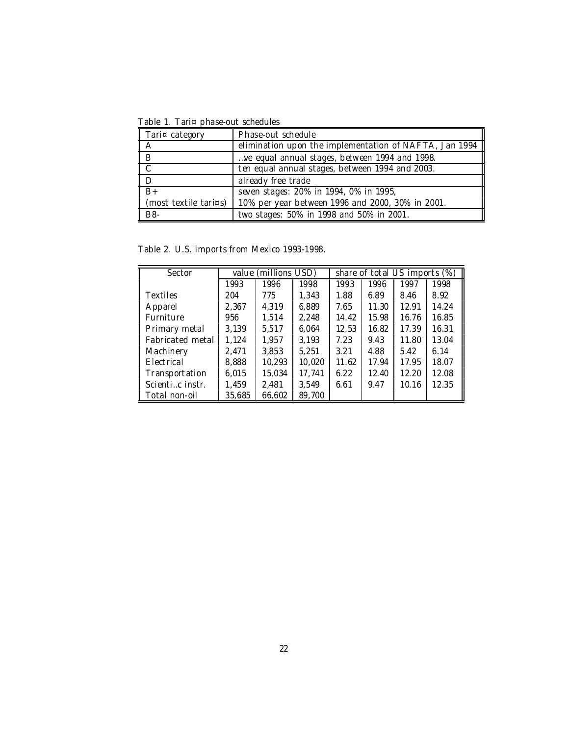Table 1. Tari¤ phase-out schedules

| Tari¤ category                                       | Phase-out schedule                                     |
|------------------------------------------------------|--------------------------------------------------------|
| II А                                                 | elimination upon the implementation of NAFTA, Jan 1994 |
| $\left  \begin{array}{c} B \\ C \end{array} \right $ | ve equal annual stages, between 1994 and 1998.         |
|                                                      | ten equal annual stages, between 1994 and 2003.        |
| ΙD                                                   | already free trade                                     |
| $B+$                                                 | seven stages: 20% in 1994, 0% in 1995,                 |
| $\parallel$ (most textile tari¤s)                    | 10% per year between 1996 and 2000, 30% in 2001.       |
| B8-                                                  | two stages: 50% in 1998 and 50% in 2001.               |

Table 2. U.S. imports from Mexico 1993-1998.

| Sector           |              | value (millions USD) |        | share of total US imports (%) |       |       |       |
|------------------|--------------|----------------------|--------|-------------------------------|-------|-------|-------|
|                  | 1993<br>1996 |                      | 1998   | 1993                          | 1996  | 1997  | 1998  |
| <b>Textiles</b>  | 204          | 775                  | 1.343  | 1.88                          | 6.89  | 8.46  | 8.92  |
| Apparel          | 2,367        | 4,319                | 6,889  | 7.65                          | 11.30 | 12.91 | 14.24 |
| Furniture        | 956          | 1.514                | 2,248  | 14.42                         | 15.98 | 16.76 | 16.85 |
| Primary metal    | 3,139        | 5.517                | 6.064  | 12.53                         | 16.82 | 17.39 | 16.31 |
| Fabricated metal | 1,124        | 1.957                | 3,193  | 7.23                          | 9.43  | 11.80 | 13.04 |
| Machinery        | 2,471        | 3,853                | 5.251  | 3.21                          | 4.88  | 5.42  | 6.14  |
| Electrical       | 8,888        | 10,293               | 10,020 | 11.62                         | 17.94 | 17.95 | 18.07 |
| Transportation   | 6.015        | 15,034               | 17,741 | 6.22                          | 12.40 | 12.20 | 12.08 |
| Scientic instr.  | 1,459        | 2,481                | 3.549  | 6.61                          | 9.47  | 10.16 | 12.35 |
| Total non-oil    | 35,685       | 66,602               | 89,700 |                               |       |       |       |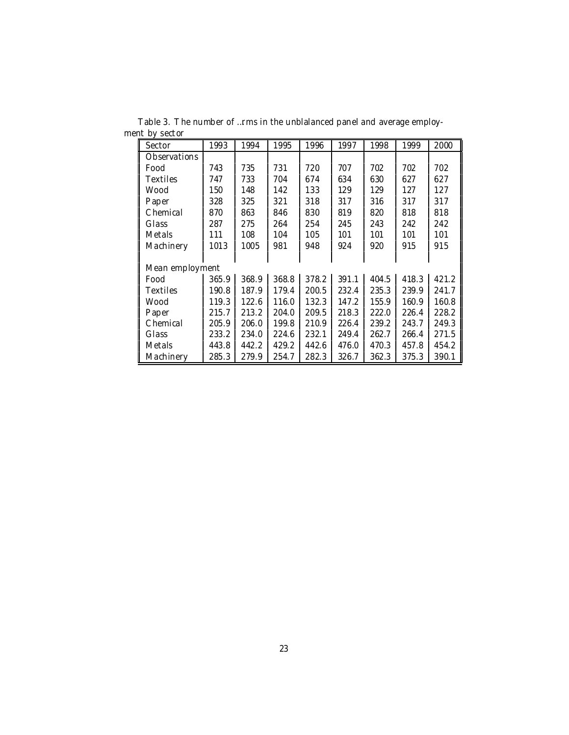| Sector              | 1993  | 1994  | 1995  | 1996  | 1997  | 1998  | 1999  | 2000  |
|---------------------|-------|-------|-------|-------|-------|-------|-------|-------|
| <b>Observations</b> |       |       |       |       |       |       |       |       |
| Food                | 743   | 735   | 731   | 720   | 707   | 702   | 702   | 702   |
| Textiles            | 747   | 733   | 704   | 674   | 634   | 630   | 627   | 627   |
| Wood                | 150   | 148   | 142   | 133   | 129   | 129   | 127   | 127   |
| Paper               | 328   | 325   | 321   | 318   | 317   | 316   | 317   | 317   |
| Chemical            | 870   | 863   | 846   | 830   | 819   | 820   | 818   | 818   |
| Glass               | 287   | 275   | 264   | 254   | 245   | 243   | 242   | 242   |
| Metals              | 111   | 108   | 104   | 105   | 101   | 101   | 101   | 101   |
| Machinery           | 1013  | 1005  | 981   | 948   | 924   | 920   | 915   | 915   |
|                     |       |       |       |       |       |       |       |       |
| Mean employment     |       |       |       |       |       |       |       |       |
| Food                | 365.9 | 368.9 | 368.8 | 378.2 | 391.1 | 404.5 | 418.3 | 421.2 |
| Textiles            | 190.8 | 187.9 | 179.4 | 200.5 | 232.4 | 235.3 | 239.9 | 241.7 |
| Wood                | 119.3 | 122.6 | 116.0 | 132.3 | 147.2 | 155.9 | 160.9 | 160.8 |
| Paper               | 215.7 | 213.2 | 204.0 | 209.5 | 218.3 | 222.0 | 226.4 | 228.2 |
| Chemical            | 205.9 | 206.0 | 199.8 | 210.9 | 226.4 | 239.2 | 243.7 | 249.3 |
| Glass               | 233.2 | 234.0 | 224.6 | 232.1 | 249.4 | 262.7 | 266.4 | 271.5 |
| Metals              | 443.8 | 442.2 | 429.2 | 442.6 | 476.0 | 470.3 | 457.8 | 454.2 |
| Machinery           | 285.3 | 279.9 | 254.7 | 282.3 | 326.7 | 362.3 | 375.3 | 390.1 |

Table 3. The number of …rms in the unblalanced panel and average employment by sector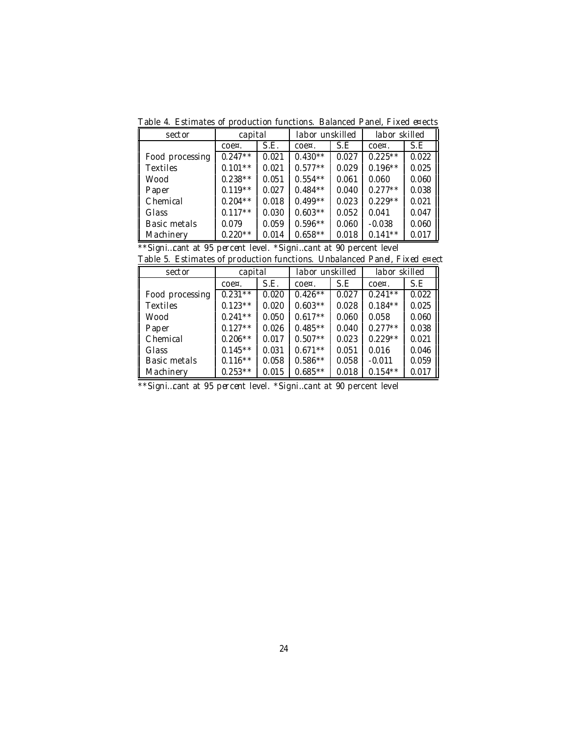Table 4. Estimates of production functions. Balanced Panel, Fixed e¤ects

| sector          | capital    |       | labor unskilled |       | labor skilled |       |
|-----------------|------------|-------|-----------------|-------|---------------|-------|
|                 | $\cos x$ . | S.E.  | $\cos x$ .      | S.E   | $\cos x$ .    | S.E   |
| Food processing | $0.247**$  | 0.021 | $0.430**$       | 0.027 | $0.225**$     | 0.022 |
| <b>Textiles</b> | $0.101**$  | 0.021 | $0.577**$       | 0.029 | $0.196**$     | 0.025 |
| Wood            | $0.238**$  | 0.051 | $0.554**$       | 0.061 | 0.060         | 0.060 |
| Paper           | $0.119**$  | 0.027 | $0.484**$       | 0.040 | $0.277**$     | 0.038 |
| Chemical        | $0.204**$  | 0.018 | $0.499**$       | 0.023 | $0.229**$     | 0.021 |
| Glass           | $0.117**$  | 0.030 | $0.603**$       | 0.052 | 0.041         | 0.047 |
| Basic metals    | 0.079      | 0.059 | $0.596**$       | 0.060 | $-0.038$      | 0.060 |
| Machinery<br>II | $0.220**$  | 0.014 | $0.658**$       | 0.018 | $0.141**$     | 0.017 |

| ** Signicant at 95 percent level. * Signicant at 90 percent level |  |  |  |  |  |  |  |  |
|-------------------------------------------------------------------|--|--|--|--|--|--|--|--|
|-------------------------------------------------------------------|--|--|--|--|--|--|--|--|

|  |  | Table 5. Estimates of production functions. Unbalanced Panel, Fixed e¤ect |  |  |  |  |
|--|--|---------------------------------------------------------------------------|--|--|--|--|
|--|--|---------------------------------------------------------------------------|--|--|--|--|

| sector          | capital    |       | labor unskilled |       | labor skilled |       |  |
|-----------------|------------|-------|-----------------|-------|---------------|-------|--|
|                 | coe¤.      | S.E.  | $\cos x$ .      | S.E   | $\cos x$ .    | S.E   |  |
| Food processing | $0.231***$ | 0.020 | $0.426**$       | 0.027 | $0.241**$     | 0.022 |  |
| <b>Textiles</b> | $0.123**$  | 0.020 | $0.603**$       | 0.028 | $0.184**$     | 0.025 |  |
| Wood            | $0.241**$  | 0.050 | $0.617**$       | 0.060 | 0.058         | 0.060 |  |
| Paper           | $0.127**$  | 0.026 | $0.485**$       | 0.040 | $0.277**$     | 0.038 |  |
| Chemical        | $0.206**$  | 0.017 | $0.507**$       | 0.023 | $0.229**$     | 0.021 |  |
| Glass           | $0.145**$  | 0.031 | $0.671**$       | 0.051 | 0.016         | 0.046 |  |
| Basic metals    | $0.116***$ | 0.058 | $0.586**$       | 0.058 | $-0.011$      | 0.059 |  |
| Machinery       | $0.253**$  | 0.015 | $0.685**$       | 0.018 | $0.154**$     | 0.017 |  |

\*\*Signi…cant at 95 percent level. \*Signi…cant at 90 percent level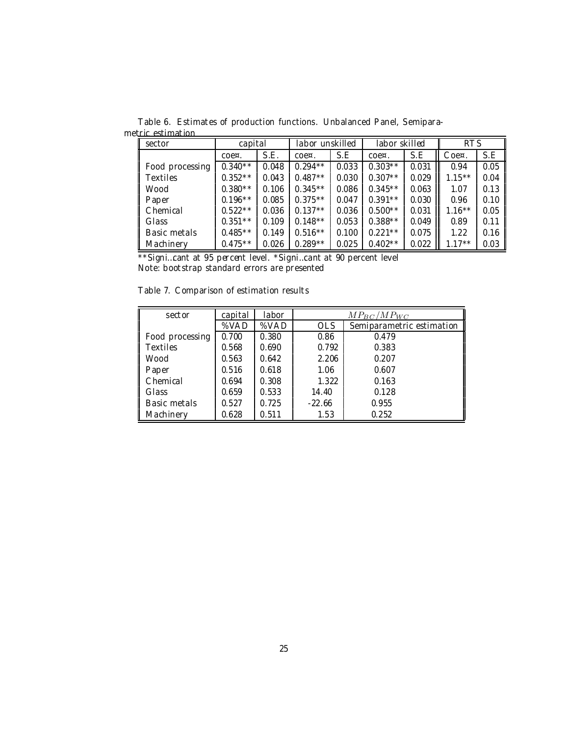sector and capital labor unskilled abor skilled **RTS** coe¤. | S.E. | coe¤. | S.E. | coe¤. | S.E. || Coe¤. | S.E Food processing  $\begin{bmatrix} 0.340^{**} & 0.048 & 0.294^{**} & 0.033 & 0.303^{**} & 0.031 & 0.94 & 0.05 \end{bmatrix}$ Textiles 0.352\*\* 0.043 0.487\*\* 0.030 0.307\*\* 0.029 1.15\*\* 0.04 Wood | 0.380\*\* | 0.106 | 0.345\*\* | 0.086 | 0.345\*\* | 0.063 ||| 1.07 | 0.13 Paper | 0.196\*\* | 0.085 | 0.375\*\* | 0.047 | 0.391\*\* | 0.030 ||| 0.96 | 0.10 Chemical 0.522\*\* 0.036 0.137\*\* 0.036 0.500\*\* 0.031 1.16\*\* 0.05 Glass | 0.351\*\* | 0.109 | 0.148\*\* | 0.053 | 0.388\*\* | 0.049 ||| 0.89 | 0.11 Basic metals  $\begin{array}{|l|c|c|c|c|c|c|c|}\n\hline\n0.485 & 0.485^{*} & 0.149 & 0.516^{*} & 0.100 & 0.221^{*} & 0.075 & 1.22 & 0.16 \\
\hline\nMachinery & 0.475^{*} & 0.026 & 0.289^{*} & 0.025 & 0.402^{*} & 0.022 & 1.17^{*} & 0.03\n\end{array}$ Machinery 0.475\*\* 0.026 0.289\*\* 0.025 0.402\*\* 0.022 1.17\*\* 0.03

Table 6. Estimates of production functions. Unbalanced Panel, Semiparametric estimation

\*\*Signi…cant at 95 percent level. \*Signi…cant at 90 percent level Note: bootstrap standard errors are presented

Table 7. Comparison of estimation results

| sector          | capital | labor | $MP_{BC}/MP_{WC}$ |                           |  |  |  |
|-----------------|---------|-------|-------------------|---------------------------|--|--|--|
|                 | %VAD    | %VAD  | <b>OLS</b>        | Semiparametric estimation |  |  |  |
| Food processing | 0.700   | 0.380 | 0.86              | 0.479                     |  |  |  |
| <b>Textiles</b> | 0.568   | 0.690 | 0.792             | 0.383                     |  |  |  |
| Wood            | 0.563   | 0.642 | 2.206             | 0.207                     |  |  |  |
| Paper           | 0.516   | 0.618 | 1.06              | 0.607                     |  |  |  |
| Chemical        | 0.694   | 0.308 | 1.322             | 0.163                     |  |  |  |
| Glass           | 0.659   | 0.533 | 14.40             | 0.128                     |  |  |  |
| Basic metals    | 0.527   | 0.725 | $-22.66$          | 0.955                     |  |  |  |
| Machinery       | 0.628   | 0.511 | 1.53              | 0.252                     |  |  |  |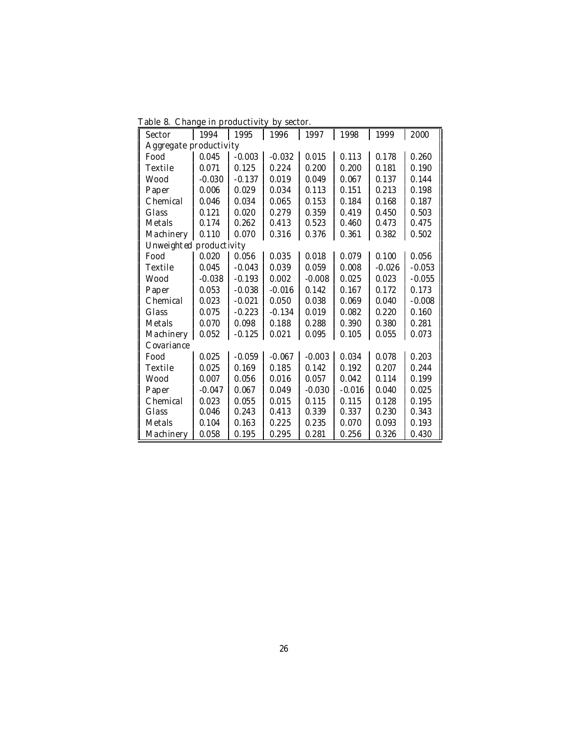| Table 8. Change in productivity by sector. |  |  |  |  |
|--------------------------------------------|--|--|--|--|
|--------------------------------------------|--|--|--|--|

| Sector                  | 1994     | 1995     | 1996     | 1997     | 1998     | 1999     | 2000     |
|-------------------------|----------|----------|----------|----------|----------|----------|----------|
| Aggregate productivity  |          |          |          |          |          |          |          |
| Food                    | 0.045    | $-0.003$ | $-0.032$ | 0.015    | 0.113    | 0.178    | 0.260    |
| Textile                 | 0.071    | 0.125    | 0.224    | 0.200    | 0.200    | 0.181    | 0.190    |
| Wood                    | $-0.030$ | $-0.137$ | 0.019    | 0.049    | 0.067    | 0.137    | 0.144    |
| Paper                   | 0.006    | 0.029    | 0.034    | 0.113    | 0.151    | 0.213    | 0.198    |
| Chemical                | 0.046    | 0.034    | 0.065    | 0.153    | 0.184    | 0.168    | 0.187    |
| Glass                   | 0.121    | 0.020    | 0.279    | 0.359    | 0.419    | 0.450    | 0.503    |
| Metals                  | 0.174    | 0.262    | 0.413    | 0.523    | 0.460    | 0.473    | 0.475    |
| Machinery               | 0.110    | 0.070    | 0.316    | 0.376    | 0.361    | 0.382    | 0.502    |
| Unweighted productivity |          |          |          |          |          |          |          |
| Food                    | 0.020    | 0.056    | 0.035    | 0.018    | 0.079    | 0.100    | 0.056    |
| Textile                 | 0.045    | $-0.043$ | 0.039    | 0.059    | 0.008    | $-0.026$ | $-0.053$ |
| Wood                    | $-0.038$ | $-0.193$ | 0.002    | $-0.008$ | 0.025    | 0.023    | $-0.055$ |
| Paper                   | 0.053    | $-0.038$ | $-0.016$ | 0.142    | 0.167    | 0.172    | 0.173    |
| Chemical                | 0.023    | $-0.021$ | 0.050    | 0.038    | 0.069    | 0.040    | $-0.008$ |
| Glass                   | 0.075    | $-0.223$ | $-0.134$ | 0.019    | 0.082    | 0.220    | 0.160    |
| Metals                  | 0.070    | 0.098    | 0.188    | 0.288    | 0.390    | 0.380    | 0.281    |
| Machinery               | 0.052    | $-0.125$ | 0.021    | 0.095    | 0.105    | 0.055    | 0.073    |
| Covariance              |          |          |          |          |          |          |          |
| Food                    | 0.025    | $-0.059$ | $-0.067$ | $-0.003$ | 0.034    | 0.078    | 0.203    |
| Textile                 | 0.025    | 0.169    | 0.185    | 0.142    | 0.192    | 0.207    | 0.244    |
| Wood                    | 0.007    | 0.056    | 0.016    | 0.057    | 0.042    | 0.114    | 0.199    |
| Paper                   | $-0.047$ | 0.067    | 0.049    | $-0.030$ | $-0.016$ | 0.040    | 0.025    |
| Chemical                | 0.023    | 0.055    | 0.015    | 0.115    | 0.115    | 0.128    | 0.195    |
| Glass                   | 0.046    | 0.243    | 0.413    | 0.339    | 0.337    | 0.230    | 0.343    |
| Metals                  | 0.104    | 0.163    | 0.225    | 0.235    | 0.070    | 0.093    | 0.193    |
| Machinery               | 0.058    | 0.195    | 0.295    | 0.281    | 0.256    | 0.326    | 0.430    |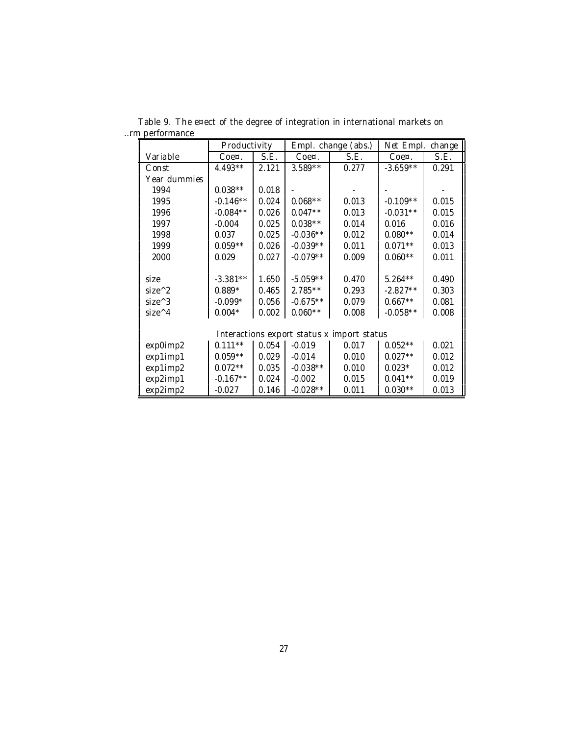|              | Productivity |       |              | Empl. change (abs.)                        | Net Empl. change |       |
|--------------|--------------|-------|--------------|--------------------------------------------|------------------|-------|
| Variable     | Coe¤.        | S.E.  | $C0e\alpha.$ | S.E.                                       | $C0e\alpha.$     | S.E.  |
| Const        | $4.493**$    | 2.121 | $3.589**$    | 0.277                                      | $-3.659**$       | 0.291 |
| Year dummies |              |       |              |                                            |                  |       |
| 1994         | $0.038**$    | 0.018 |              |                                            |                  |       |
| 1995         | $-0.146**$   | 0.024 | $0.068**$    | 0.013                                      | $-0.109**$       | 0.015 |
| 1996         | $-0.084**$   | 0.026 | $0.047**$    | 0.013                                      | $-0.031**$       | 0.015 |
| 1997         | $-0.004$     | 0.025 | $0.038**$    | 0.014                                      | 0.016            | 0.016 |
| 1998         | 0.037        | 0.025 | $-0.036**$   | 0.012                                      | $0.080**$        | 0.014 |
| 1999         | $0.059**$    | 0.026 | $-0.039**$   | 0.011                                      | $0.071**$        | 0.013 |
| 2000         | 0.029        | 0.027 | $-0.079**$   | 0.009                                      | $0.060**$        | 0.011 |
|              |              |       |              |                                            |                  |       |
| size         | $-3.381**$   | 1.650 | $-5.059**$   | 0.470                                      | $5.264**$        | 0.490 |
| $size^2$     | $0.889*$     | 0.465 | $2.785***$   | 0.293                                      | $-2.827**$       | 0.303 |
| $size^3$     | $-0.099*$    | 0.056 | $-0.675**$   | 0.079                                      | $0.667**$        | 0.081 |
| $size^A$     | $0.004*$     | 0.002 | $0.060**$    | 0.008                                      | $-0.058**$       | 0.008 |
|              |              |       |              |                                            |                  |       |
|              |              |       |              | Interactions export status x import status |                  |       |
| exp0imp2     | $0.111***$   | 0.054 | $-0.019$     | 0.017                                      | $0.052**$        | 0.021 |
| exp1imp1     | $0.059**$    | 0.029 | $-0.014$     | 0.010                                      | $0.027**$        | 0.012 |
| exp1imp2     | $0.072**$    | 0.035 | $-0.038**$   | 0.010                                      | $0.023*$         | 0.012 |
| exp2imp1     | $-0.167**$   | 0.024 | $-0.002$     | 0.015                                      | $0.041**$        | 0.019 |
| exp2imp2     | $-0.027$     | 0.146 | $-0.028**$   | 0.011                                      | $0.030**$        | 0.013 |

Table 9. The e¤ect of the degree of integration in international markets on …rm performance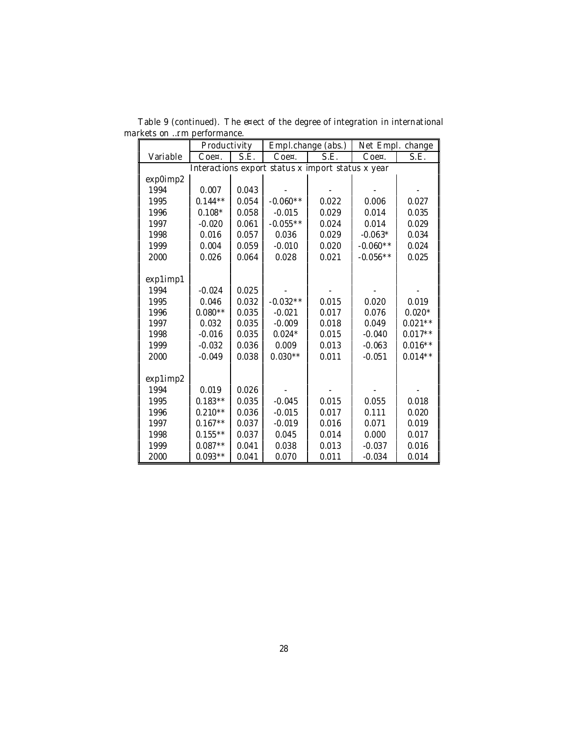|          | Productivity |       |                                                   | Empl.change (abs.) | Net Empl. change |           |
|----------|--------------|-------|---------------------------------------------------|--------------------|------------------|-----------|
| Variable | $C$ oe¤.     | S.E.  | Coe¤.                                             | S.E.               | Coe¤.            | S.E.      |
|          |              |       | Interactions export status x import status x year |                    |                  |           |
| exp0imp2 |              |       |                                                   |                    |                  |           |
| 1994     | 0.007        | 0.043 |                                                   |                    |                  |           |
| 1995     | $0.144**$    | 0.054 | $-0.060**$                                        | 0.022              | 0.006            | 0.027     |
| 1996     | $0.108*$     | 0.058 | $-0.015$                                          | 0.029              | 0.014            | 0.035     |
| 1997     | $-0.020$     | 0.061 | $-0.055**$                                        | 0.024              | 0.014            | 0.029     |
| 1998     | 0.016        | 0.057 | 0.036                                             | 0.029              | $-0.063*$        | 0.034     |
| 1999     | 0.004        | 0.059 | $-0.010$                                          | 0.020              | $-0.060**$       | 0.024     |
| 2000     | 0.026        | 0.064 | 0.028                                             | 0.021              | $-0.056**$       | 0.025     |
|          |              |       |                                                   |                    |                  |           |
| exp1imp1 |              |       |                                                   |                    |                  |           |
| 1994     | $-0.024$     | 0.025 |                                                   |                    |                  |           |
| 1995     | 0.046        | 0.032 | $-0.032**$                                        | 0.015              | 0.020            | 0.019     |
| 1996     | $0.080**$    | 0.035 | $-0.021$                                          | 0.017              | 0.076            | $0.020*$  |
| 1997     | 0.032        | 0.035 | $-0.009$                                          | 0.018              | 0.049            | $0.021**$ |
| 1998     | $-0.016$     | 0.035 | $0.024*$                                          | 0.015              | $-0.040$         | $0.017**$ |
| 1999     | $-0.032$     | 0.036 | 0.009                                             | 0.013              | $-0.063$         | $0.016**$ |
| 2000     | $-0.049$     | 0.038 | $0.030**$                                         | 0.011              | $-0.051$         | $0.014**$ |
|          |              |       |                                                   |                    |                  |           |
| exp1imp2 |              |       |                                                   |                    |                  |           |
| 1994     | 0.019        | 0.026 |                                                   |                    |                  |           |
| 1995     | $0.183**$    | 0.035 | $-0.045$                                          | 0.015              | 0.055            | 0.018     |
| 1996     | $0.210**$    | 0.036 | $-0.015$                                          | 0.017              | 0.111            | 0.020     |
| 1997     | $0.167**$    | 0.037 | $-0.019$                                          | 0.016              | 0.071            | 0.019     |
| 1998     | $0.155***$   | 0.037 | 0.045                                             | 0.014              | 0.000            | 0.017     |
| 1999     | $0.087**$    | 0.041 | 0.038                                             | 0.013              | $-0.037$         | 0.016     |
| 2000     | $0.093**$    | 0.041 | 0.070                                             | 0.011              | $-0.034$         | 0.014     |

Table 9 (continued). The e¤ect of the degree of integration in international markets on …rm performance.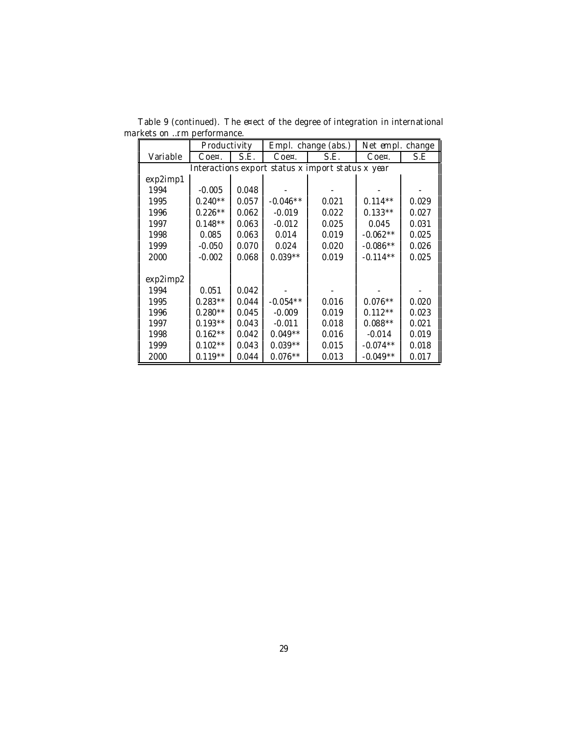|          | Productivity |       |            | Empl. change (abs.)                               | Net empl. change |       |
|----------|--------------|-------|------------|---------------------------------------------------|------------------|-------|
| Variable | Coe¤.        | S.E.  | Coe¤.      | S.E.<br>$C$ oe¤.                                  |                  | S.E   |
|          |              |       |            | Interactions export status x import status x year |                  |       |
| exp2imp1 |              |       |            |                                                   |                  |       |
| 1994     | $-0.005$     | 0.048 |            |                                                   |                  |       |
| 1995     | $0.240**$    | 0.057 | $-0.046**$ | 0.021                                             | $0.114**$        | 0.029 |
| 1996     | $0.226**$    | 0.062 | $-0.019$   | 0.022                                             | $0.133**$        | 0.027 |
| 1997     | $0.148**$    | 0.063 | $-0.012$   | 0.025                                             | 0.045            | 0.031 |
| 1998     | 0.085        | 0.063 | 0.014      | 0.019                                             | $-0.062**$       | 0.025 |
| 1999     | $-0.050$     | 0.070 | 0.024      | 0.020                                             | $-0.086**$       | 0.026 |
| 2000     | $-0.002$     | 0.068 | $0.039**$  | 0.019                                             | $-0.114**$       | 0.025 |
|          |              |       |            |                                                   |                  |       |
| exp2imp2 |              |       |            |                                                   |                  |       |
| 1994     | 0.051        | 0.042 |            |                                                   |                  |       |
| 1995     | $0.283**$    | 0.044 | $-0.054**$ | 0.016                                             | $0.076**$        | 0.020 |
| 1996     | $0.280**$    | 0.045 | $-0.009$   | 0.019                                             | $0.112**$        | 0.023 |
| 1997     | $0.193**$    | 0.043 | $-0.011$   | 0.018                                             | $0.088**$        | 0.021 |
| 1998     | $0.162**$    | 0.042 | $0.049**$  | 0.016                                             | $-0.014$         | 0.019 |
| 1999     | $0.102**$    | 0.043 | $0.039**$  | 0.015                                             | $-0.074**$       | 0.018 |
| 2000     | $0.119**$    | 0.044 | $0.076**$  | 0.013                                             | $-0.049**$       | 0.017 |

Table 9 (continued). The e¤ect of the degree of integration in international markets on …rm performance.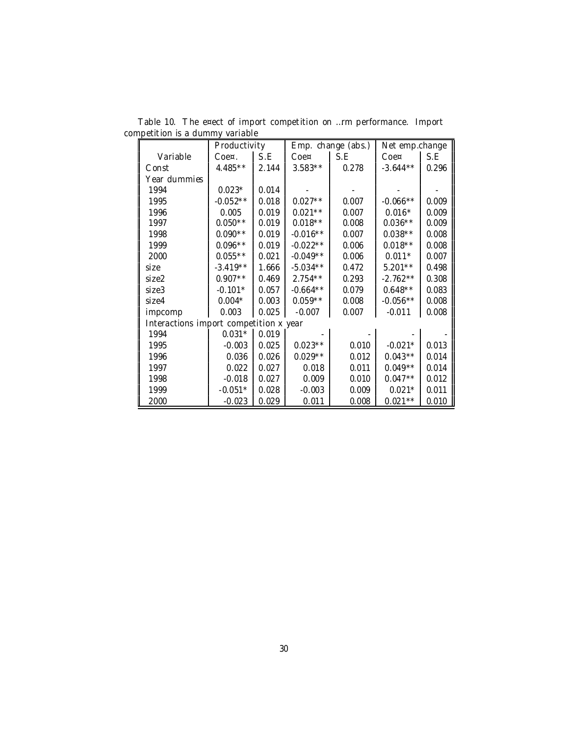|                                        | Productivity |       |            | Emp. change (abs.) | Net emp.change |       |
|----------------------------------------|--------------|-------|------------|--------------------|----------------|-------|
| Variable                               | Coe¤.        | S.E   | Coe¤       | S.E                | Coe¤           | S.E   |
| Const                                  | $4.485**$    | 2.144 | $3.583**$  | 0.278              | $-3.644**$     | 0.296 |
| Year dummies                           |              |       |            |                    |                |       |
| 1994                                   | $0.023*$     | 0.014 |            |                    |                |       |
| 1995                                   | $-0.052**$   | 0.018 | $0.027**$  | 0.007              | $-0.066**$     | 0.009 |
| 1996                                   | 0.005        | 0.019 | $0.021**$  | 0.007              | $0.016*$       | 0.009 |
| 1997                                   | $0.050**$    | 0.019 | $0.018**$  | 0.008              | $0.036**$      | 0.009 |
| 1998                                   | $0.090**$    | 0.019 | $-0.016**$ | 0.007              | $0.038**$      | 0.008 |
| 1999                                   | $0.096**$    | 0.019 | $-0.022**$ | 0.006              | $0.018**$      | 0.008 |
| 2000                                   | $0.055**$    | 0.021 | $-0.049**$ | 0.006              | $0.011*$       | 0.007 |
| size                                   | $-3.419**$   | 1.666 | $-5.034**$ | 0.472              | $5.201**$      | 0.498 |
| size2                                  | $0.907**$    | 0.469 | $2.754***$ | 0.293              | $-2.762**$     | 0.308 |
| size3                                  | $-0.101*$    | 0.057 | $-0.664**$ | 0.079              | $0.648**$      | 0.083 |
| size4                                  | $0.004*$     | 0.003 | $0.059**$  | 0.008              | $-0.056**$     | 0.008 |
| impcomp                                | 0.003        | 0.025 | $-0.007$   | 0.007              | $-0.011$       | 0.008 |
| Interactions import competition x year |              |       |            |                    |                |       |
| 1994                                   | $0.031*$     | 0.019 |            |                    |                |       |
| 1995                                   | $-0.003$     | 0.025 | $0.023**$  | 0.010              | $-0.021*$      | 0.013 |
| 1996                                   | 0.036        | 0.026 | $0.029**$  | 0.012              | $0.043**$      | 0.014 |
| 1997                                   | 0.022        | 0.027 | 0.018      | 0.011              | $0.049**$      | 0.014 |
| 1998                                   | $-0.018$     | 0.027 | 0.009      | 0.010              | $0.047**$      | 0.012 |
| 1999                                   | $-0.051*$    | 0.028 | $-0.003$   | 0.009              | $0.021*$       | 0.011 |
| 2000                                   | $-0.023$     | 0.029 | 0.011      | 0.008              | $0.021**$      | 0.010 |

Table 10. The e¤ect of import competition on …rm performance. Import competition is a dummy variable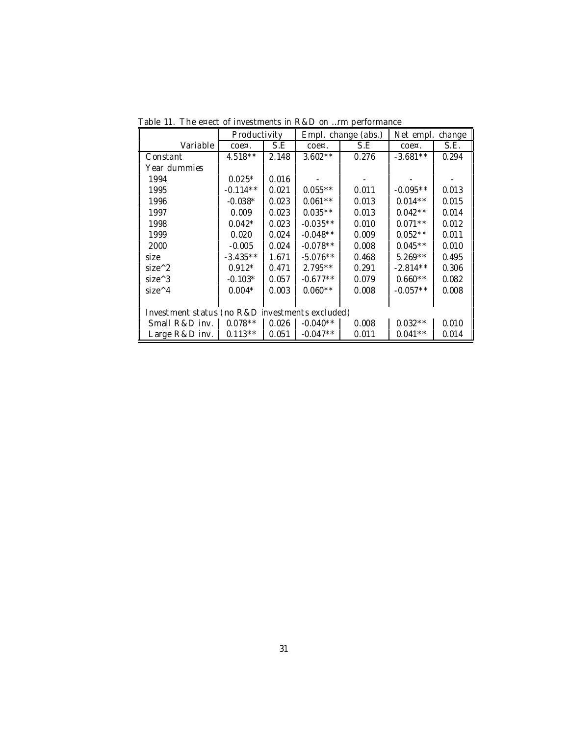|                                                 | Productivity     |       |            | Empl. change (abs.) | Net empl.<br>change |       |
|-------------------------------------------------|------------------|-------|------------|---------------------|---------------------|-------|
| Variable                                        | $COe^{\alpha}$ . | S.E   | $\cos x$ . | S.E                 | $\cos$              | S.E.  |
| Constant                                        | $4.518**$        | 2.148 | $3.602**$  | 0.276               | $-3.681**$          | 0.294 |
| Year dummies                                    |                  |       |            |                     |                     |       |
| 1994                                            | $0.025*$         | 0.016 |            |                     |                     |       |
| 1995                                            | $-0.114**$       | 0.021 | $0.055**$  | 0.011               | $-0.095**$          | 0.013 |
| 1996                                            | $-0.038*$        | 0.023 | $0.061**$  | 0.013               | $0.014**$           | 0.015 |
| 1997                                            | 0.009            | 0.023 | $0.035**$  | 0.013               | $0.042**$           | 0.014 |
| 1998                                            | $0.042*$         | 0.023 | $-0.035**$ | 0.010               | $0.071**$           | 0.012 |
| 1999                                            | 0.020            | 0.024 | $-0.048**$ | 0.009               | $0.052**$           | 0.011 |
| 2000                                            | $-0.005$         | 0.024 | $-0.078**$ | 0.008               | $0.045**$           | 0.010 |
| size                                            | $-3.435**$       | 1.671 | $-5.076**$ | 0.468               | $5.269**$           | 0.495 |
| $size^2$                                        | $0.912*$         | 0.471 | $2.795**$  | 0.291               | $-2.814**$          | 0.306 |
| $size^3$                                        | $-0.103*$        | 0.057 | $-0.677**$ | 0.079               | $0.660**$           | 0.082 |
| $size^{\wedge}4$                                | $0.004*$         | 0.003 | $0.060**$  | 0.008               | $-0.057**$          | 0.008 |
|                                                 |                  |       |            |                     |                     |       |
| Investment status (no R&D investments excluded) |                  |       |            |                     |                     |       |
| Small R&D inv.                                  | $0.078**$        | 0.026 | $-0.040**$ | 0.008               | $0.032**$           | 0.010 |
| Large R&D inv.                                  | $0.113**$        | 0.051 | $-0.047**$ | 0.011               | $0.041**$           | 0.014 |

Table 11. The e¤ect of investments in R&D on …rm performance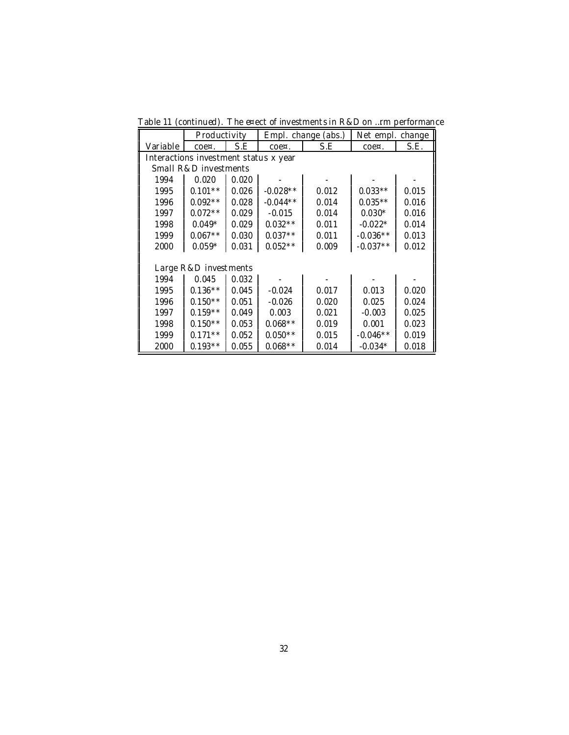|  |  |  |  |  | Table 11 (continued). The e¤ect of investments in R&D on rm performance |
|--|--|--|--|--|-------------------------------------------------------------------------|
|--|--|--|--|--|-------------------------------------------------------------------------|

|                                       | Productivity          |       |               | Empl. change (abs.) | Net empl. change |       |  |
|---------------------------------------|-----------------------|-------|---------------|---------------------|------------------|-------|--|
| Variable                              | $\cos$                | S.E   | $C0e\alpha$ . | S.E                 | $\cos x$ .       | S.E.  |  |
| Interactions investment status x year |                       |       |               |                     |                  |       |  |
|                                       | Small R&D investments |       |               |                     |                  |       |  |
| 1994                                  | 0.020                 | 0.020 |               |                     |                  |       |  |
| 1995                                  | $0.101**$             | 0.026 | $-0.028**$    | 0.012               | $0.033**$        | 0.015 |  |
| 1996                                  | $0.092**$             | 0.028 | $-0.044**$    | 0.014               | $0.035**$        | 0.016 |  |
| 1997                                  | $0.072**$             | 0.029 | $-0.015$      | 0.014               | $0.030*$         | 0.016 |  |
| 1998                                  | $0.049*$              | 0.029 | $0.032**$     | 0.011               | $-0.022*$        | 0.014 |  |
| 1999                                  | $0.067**$             | 0.030 | $0.037**$     | 0.011               | $-0.036**$       | 0.013 |  |
| 2000                                  | $0.059*$              | 0.031 | $0.052**$     | 0.009               | $-0.037**$       | 0.012 |  |
|                                       |                       |       |               |                     |                  |       |  |
|                                       | Large R&D investments |       |               |                     |                  |       |  |
| 1994                                  | 0.045                 | 0.032 |               |                     |                  |       |  |
| 1995                                  | $0.136**$             | 0.045 | $-0.024$      | 0.017               | 0.013            | 0.020 |  |
| 1996                                  | $0.150**$             | 0.051 | $-0.026$      | 0.020               | 0.025            | 0.024 |  |
| 1997                                  | $0.159**$             | 0.049 | 0.003         | 0.021               | $-0.003$         | 0.025 |  |
| 1998                                  | $0.150**$             | 0.053 | $0.068**$     | 0.019               | 0.001            | 0.023 |  |
| 1999                                  | $0.171**$             | 0.052 | $0.050**$     | 0.015               | $-0.046**$       | 0.019 |  |
| 2000                                  | $0.193**$             | 0.055 | $0.068**$     | 0.014               | $-0.034*$        | 0.018 |  |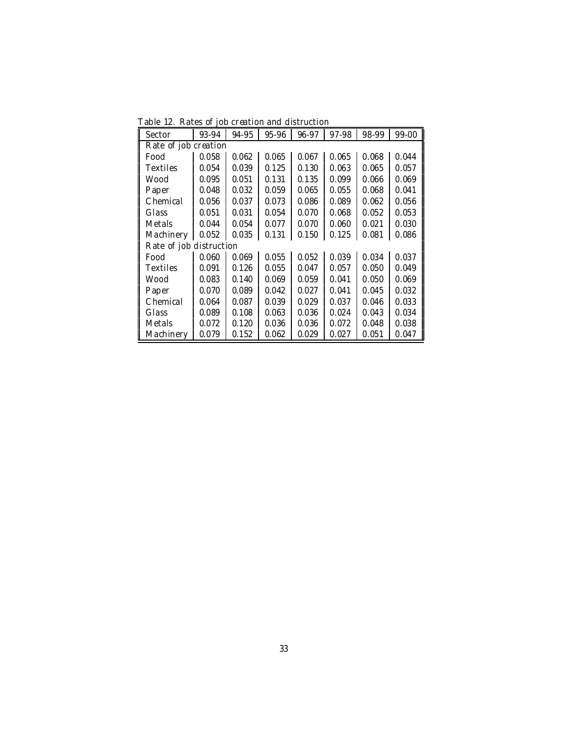Table 12. Rates of job creation and distruction

| Sector                  | 93-94 | 94-95 | 95-96 | 96-97 | 97-98 | 98-99 | 99-00 |
|-------------------------|-------|-------|-------|-------|-------|-------|-------|
| Rate of job creation    |       |       |       |       |       |       |       |
| Food                    | 0.058 | 0.062 | 0.065 | 0.067 | 0.065 | 0.068 | 0.044 |
| <b>Textiles</b>         | 0.054 | 0.039 | 0.125 | 0.130 | 0.063 | 0.065 | 0.057 |
| Wood                    | 0.095 | 0.051 | 0.131 | 0.135 | 0.099 | 0.066 | 0.069 |
| Paper                   | 0.048 | 0.032 | 0.059 | 0.065 | 0.055 | 0.068 | 0.041 |
| Chemical                | 0.056 | 0.037 | 0.073 | 0.086 | 0.089 | 0.062 | 0.056 |
| Glass                   | 0.051 | 0.031 | 0.054 | 0.070 | 0.068 | 0.052 | 0.053 |
| Metals                  | 0.044 | 0.054 | 0.077 | 0.070 | 0.060 | 0.021 | 0.030 |
| Machinery               | 0.052 | 0.035 | 0.131 | 0.150 | 0.125 | 0.081 | 0.086 |
| Rate of job distruction |       |       |       |       |       |       |       |
| Food                    | 0.060 | 0.069 | 0.055 | 0.052 | 0.039 | 0.034 | 0.037 |
| <b>Textiles</b>         | 0.091 | 0.126 | 0.055 | 0.047 | 0.057 | 0.050 | 0.049 |
| Wood                    | 0.083 | 0.140 | 0.069 | 0.059 | 0.041 | 0.050 | 0.069 |
| Paper                   | 0.070 | 0.089 | 0.042 | 0.027 | 0.041 | 0.045 | 0.032 |
| Chemical                | 0.064 | 0.087 | 0.039 | 0.029 | 0.037 | 0.046 | 0.033 |
| Glass                   | 0.089 | 0.108 | 0.063 | 0.036 | 0.024 | 0.043 | 0.034 |
| Metals                  | 0.072 | 0.120 | 0.036 | 0.036 | 0.072 | 0.048 | 0.038 |
| Machinery               | 0.079 | 0.152 | 0.062 | 0.029 | 0.027 | 0.051 | 0.047 |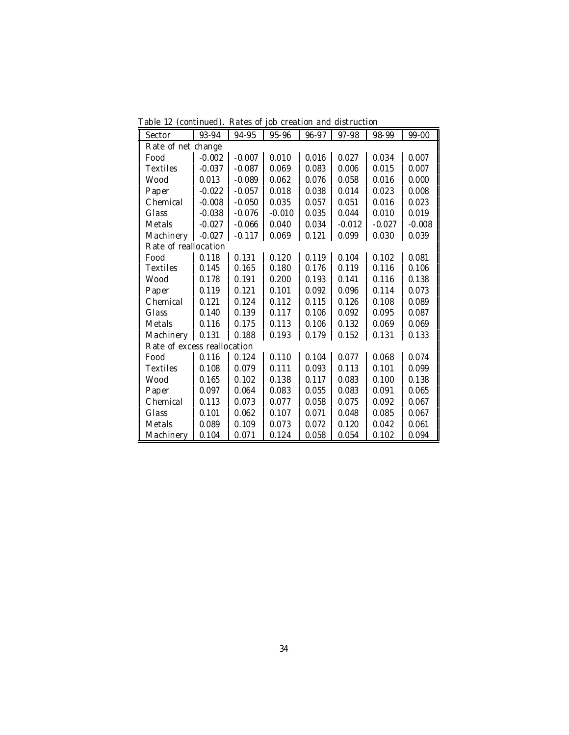Table 12 (continued). Rates of job creation and distruction

| Sector                      | 93-94    | 94-95    | 95-96    | 96-97 | 97-98    | 98-99    | 99-00    |
|-----------------------------|----------|----------|----------|-------|----------|----------|----------|
| Rate of net change          |          |          |          |       |          |          |          |
| Food                        | $-0.002$ | $-0.007$ | 0.010    | 0.016 | 0.027    | 0.034    | 0.007    |
| <b>Textiles</b>             | $-0.037$ | $-0.087$ | 0.069    | 0.083 | 0.006    | 0.015    | 0.007    |
| Wood                        | 0.013    | $-0.089$ | 0.062    | 0.076 | 0.058    | 0.016    | 0.000    |
| Paper                       | $-0.022$ | $-0.057$ | 0.018    | 0.038 | 0.014    | 0.023    | 0.008    |
| Chemical                    | $-0.008$ | $-0.050$ | 0.035    | 0.057 | 0.051    | 0.016    | 0.023    |
| Glass                       | $-0.038$ | $-0.076$ | $-0.010$ | 0.035 | 0.044    | 0.010    | 0.019    |
| Metals                      | $-0.027$ | $-0.066$ | 0.040    | 0.034 | $-0.012$ | $-0.027$ | $-0.008$ |
| Machinery                   | $-0.027$ | $-0.117$ | 0.069    | 0.121 | 0.099    | 0.030    | 0.039    |
| Rate of reallocation        |          |          |          |       |          |          |          |
| Food                        | 0.118    | 0.131    | 0.120    | 0.119 | 0.104    | 0.102    | 0.081    |
| Textiles                    | 0.145    | 0.165    | 0.180    | 0.176 | 0.119    | 0.116    | 0.106    |
| Wood                        | 0.178    | 0.191    | 0.200    | 0.193 | 0.141    | 0.116    | 0.138    |
| Paper                       | 0.119    | 0.121    | 0.101    | 0.092 | 0.096    | 0.114    | 0.073    |
| Chemical                    | 0.121    | 0.124    | 0.112    | 0.115 | 0.126    | 0.108    | 0.089    |
| Glass                       | 0.140    | 0.139    | 0.117    | 0.106 | 0.092    | 0.095    | 0.087    |
| Metals                      | 0.116    | 0.175    | 0.113    | 0.106 | 0.132    | 0.069    | 0.069    |
| Machinery                   | 0.131    | 0.188    | 0.193    | 0.179 | 0.152    | 0.131    | 0.133    |
| Rate of excess reallocation |          |          |          |       |          |          |          |
| Food                        | 0.116    | 0.124    | 0.110    | 0.104 | 0.077    | 0.068    | 0.074    |
| Textiles                    | 0.108    | 0.079    | 0.111    | 0.093 | 0.113    | 0.101    | 0.099    |
| Wood                        | 0.165    | 0.102    | 0.138    | 0.117 | 0.083    | 0.100    | 0.138    |
| Paper                       | 0.097    | 0.064    | 0.083    | 0.055 | 0.083    | 0.091    | 0.065    |
| Chemical                    | 0.113    | 0.073    | 0.077    | 0.058 | 0.075    | 0.092    | 0.067    |
| Glass                       | 0.101    | 0.062    | 0.107    | 0.071 | 0.048    | 0.085    | 0.067    |
| Metals                      | 0.089    | 0.109    | 0.073    | 0.072 | 0.120    | 0.042    | 0.061    |
| Machinery                   | 0.104    | 0.071    | 0.124    | 0.058 | 0.054    | 0.102    | 0.094    |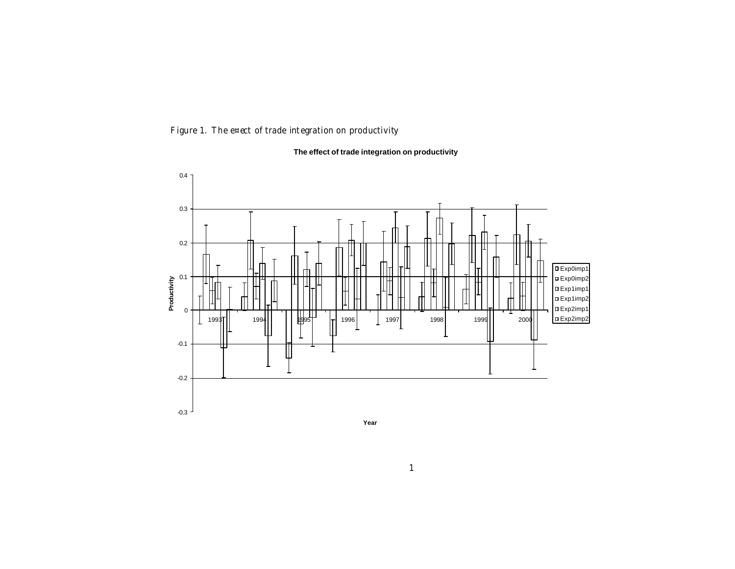Figure 1. The e¤ect of trade integration on productivity

#### **The effect of trade integration on productivity**



1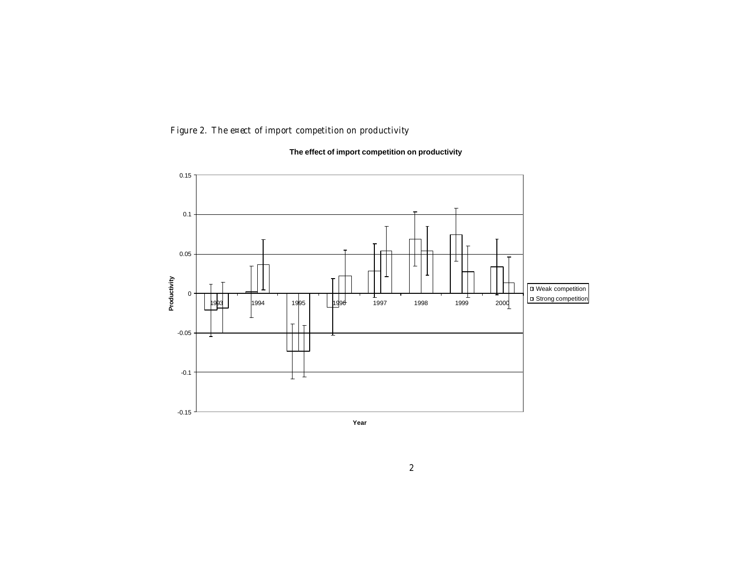Figure 2. The e¤ect of import competition on productivity

#### **The effect of import competition on productivity**

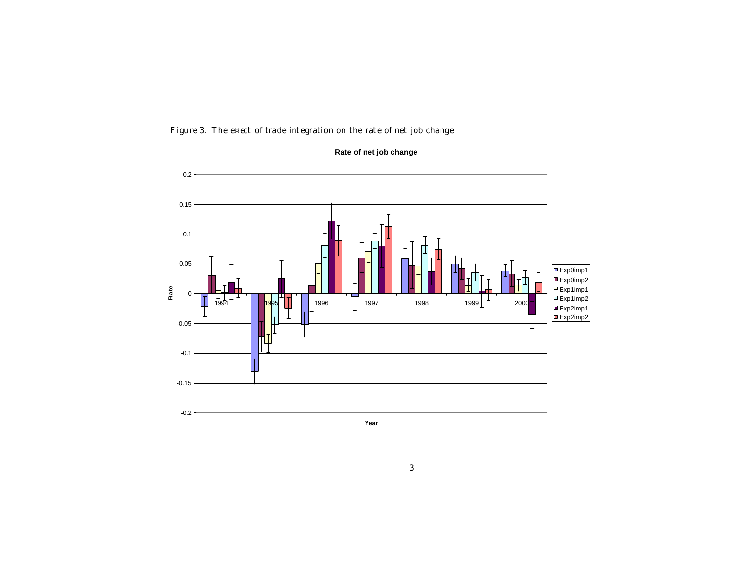Figure 3. The e¤ect of trade integration on the rate of net job change



**Rate of net job change**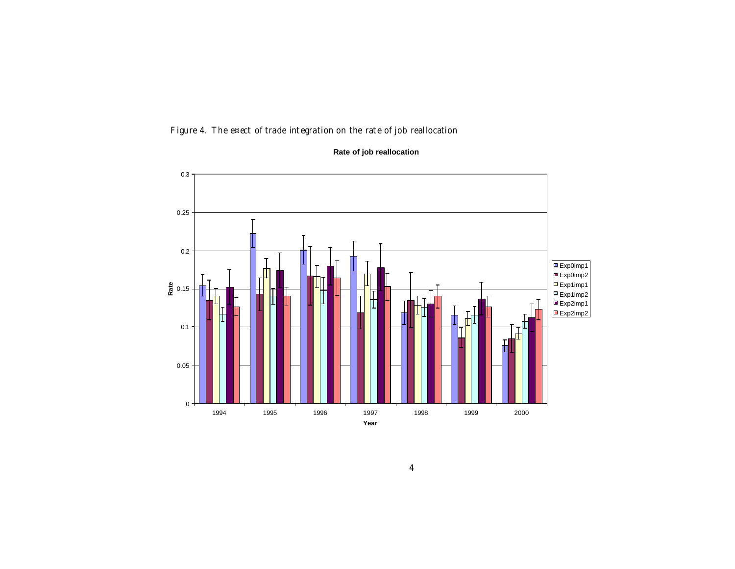Figure 4. The e¤ect of trade integration on the rate of job reallocation



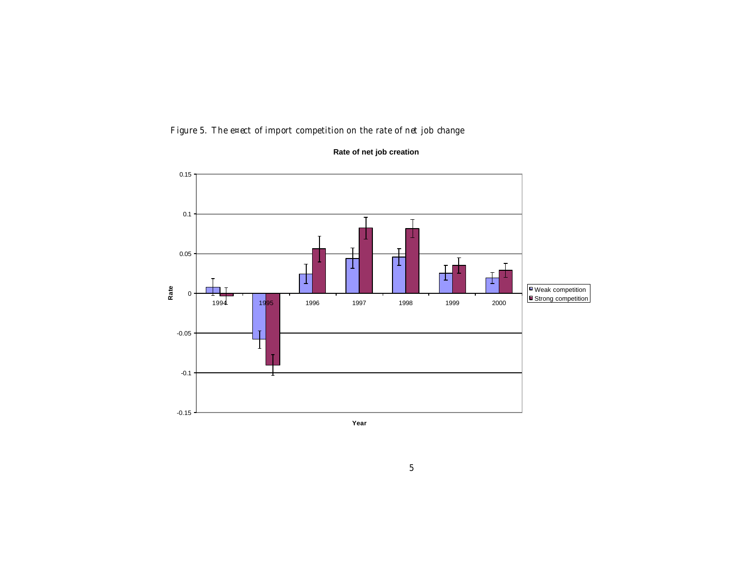Figure 5. The e¤ect of import competition on the rate of net job change



**Rate of net job creation**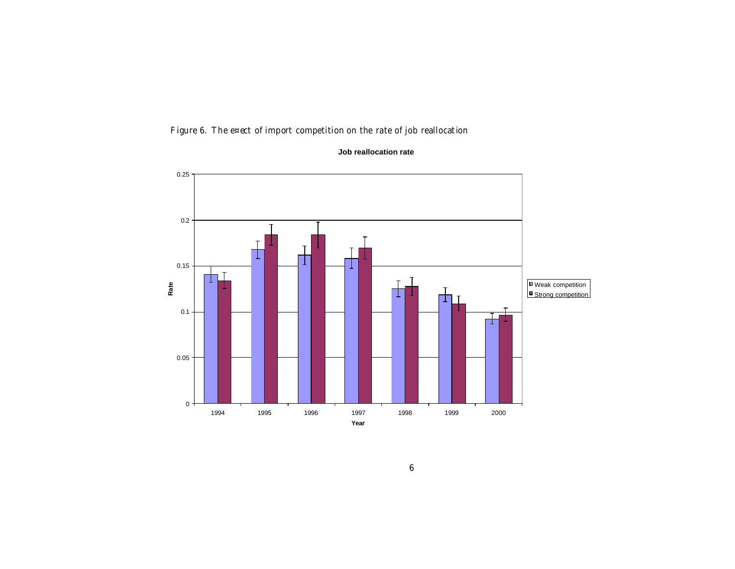Figure 6. The e¤ect of import competition on the rate of job reallocation



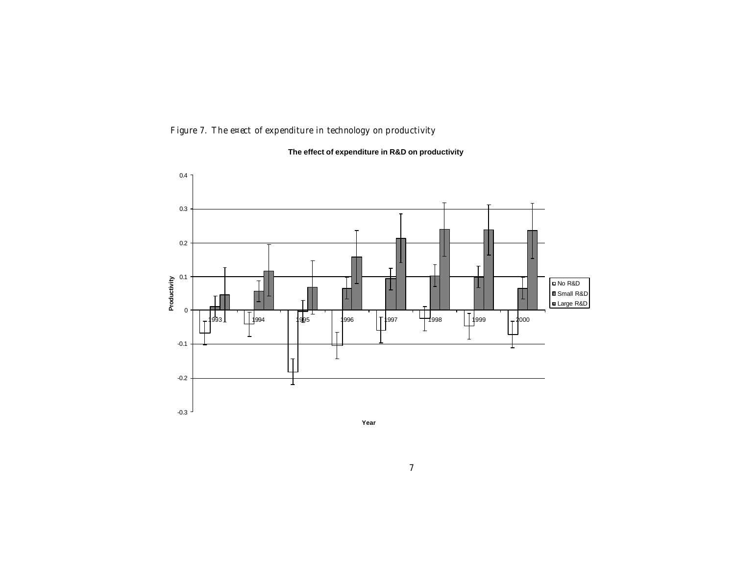Figure 7. The e¤ect of expenditure in technology on productivity

#### **The effect of expenditure in R&D on productivity**

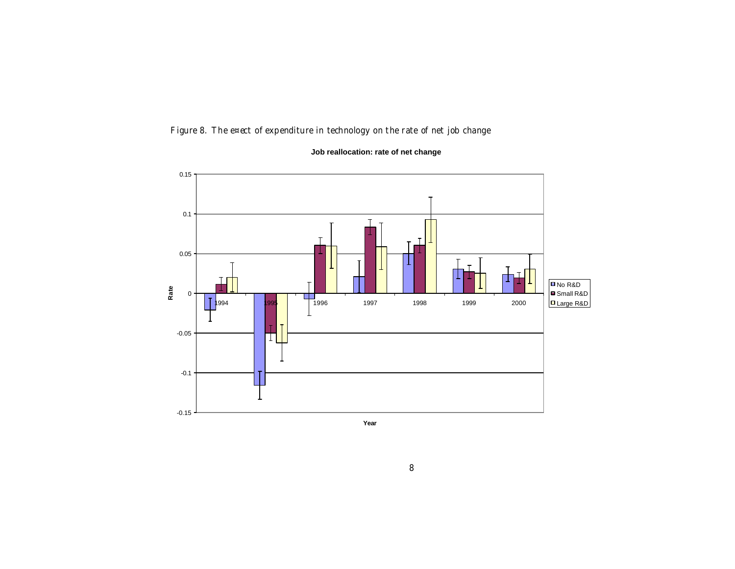Figure 8. The e¤ect of expenditure in technology on the rate of net job change



**Job reallocation: rate of net change**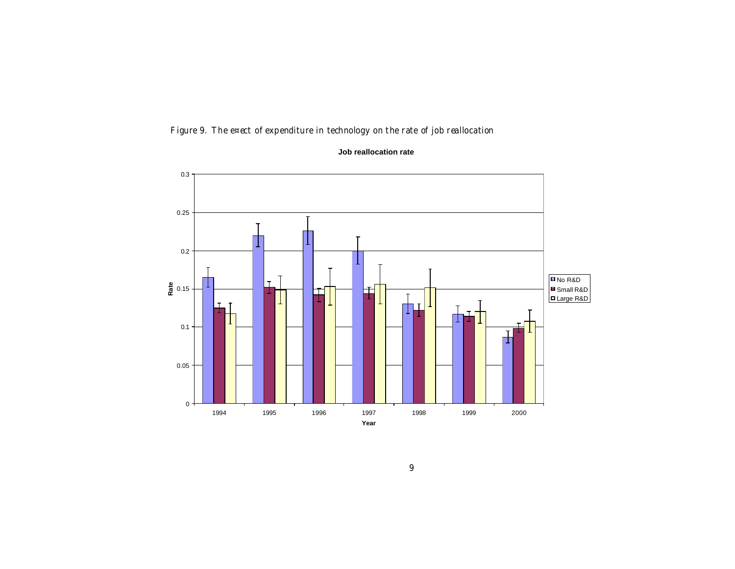Figure 9. The e¤ect of expenditure in technology on the rate of job reallocation